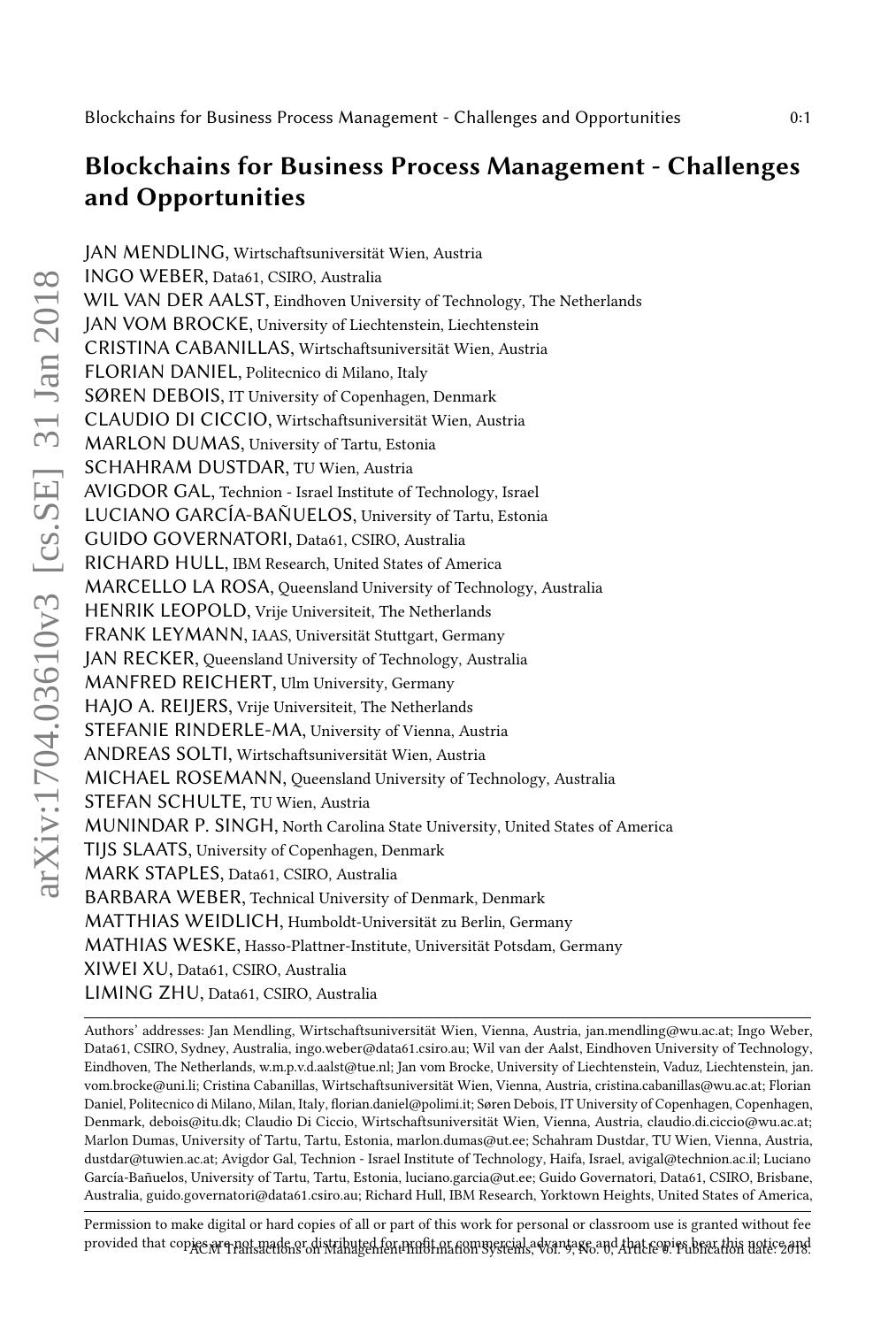# Blockchains for Business Process Management - Challenges and Opportunities

JAN MENDLING, Wirtschaftsuniversität Wien, Austria INGO WEBER, Data61, CSIRO, Australia WIL VAN DER AALST, Eindhoven University of Technology, The Netherlands JAN VOM BROCKE, University of Liechtenstein, Liechtenstein CRISTINA CABANILLAS, Wirtschaftsuniversität Wien, Austria FLORIAN DANIEL, Politecnico di Milano, Italy SØREN DEBOIS, IT University of Copenhagen, Denmark CLAUDIO DI CICCIO, Wirtschaftsuniversität Wien, Austria MARLON DUMAS, University of Tartu, Estonia SCHAHRAM DUSTDAR, TU Wien, Austria AVIGDOR GAL, Technion - Israel Institute of Technology, Israel LUCIANO GARCÍA-BAÑUELOS, University of Tartu, Estonia GUIDO GOVERNATORI, Data61, CSIRO, Australia RICHARD HULL, IBM Research, United States of America MARCELLO LA ROSA, Queensland University of Technology, Australia HENRIK LEOPOLD, Vrije Universiteit, The Netherlands FRANK LEYMANN, IAAS, Universität Stuttgart, Germany JAN RECKER, Queensland University of Technology, Australia MANFRED REICHERT, Ulm University, Germany HAJO A. REIJERS, Vrije Universiteit, The Netherlands STEFANIE RINDERLE-MA, University of Vienna, Austria ANDREAS SOLTI, Wirtschaftsuniversität Wien, Austria MICHAEL ROSEMANN, Queensland University of Technology, Australia STEFAN SCHULTE, TU Wien, Austria MUNINDAR P. SINGH, North Carolina State University, United States of America TIJS SLAATS, University of Copenhagen, Denmark MARK STAPLES, Data61, CSIRO, Australia BARBARA WEBER, Technical University of Denmark, Denmark MATTHIAS WEIDLICH, Humboldt-Universität zu Berlin, Germany MATHIAS WESKE, Hasso-Plattner-Institute, Universität Potsdam, Germany XIWEI XU, Data61, CSIRO, Australia LIMING ZHU, Data61, CSIRO, Australia

Authors' addresses: Jan Mendling, Wirtschaftsuniversität Wien, Vienna, Austria, jan.mendling@wu.ac.at; Ingo Weber, Data61, CSIRO, Sydney, Australia, ingo.weber@data61.csiro.au; Wil van der Aalst, Eindhoven University of Technology, Eindhoven, The Netherlands, w.m.p.v.d.aalst@tue.nl; Jan vom Brocke, University of Liechtenstein, Vaduz, Liechtenstein, jan. vom.brocke@uni.li; Cristina Cabanillas, Wirtschaftsuniversität Wien, Vienna, Austria, cristina.cabanillas@wu.ac.at; Florian Daniel, Politecnico di Milano, Milan, Italy, florian.daniel@polimi.it; Søren Debois, IT University of Copenhagen, Copenhagen, Denmark, debois@itu.dk; Claudio Di Ciccio, Wirtschaftsuniversität Wien, Vienna, Austria, claudio.di.ciccio@wu.ac.at; Marlon Dumas, University of Tartu, Tartu, Estonia, marlon.dumas@ut.ee; Schahram Dustdar, TU Wien, Vienna, Austria, dustdar@tuwien.ac.at; Avigdor Gal, Technion - Israel Institute of Technology, Haifa, Israel, avigal@technion.ac.il; Luciano García-Bañuelos, University of Tartu, Tartu, Estonia, luciano.garcia@ut.ee; Guido Governatori, Data61, CSIRO, Brisbane, Australia, guido.governatori@data61.csiro.au; Richard Hull, IBM Research, Yorktown Heights, United States of America,

Permission to make digital or hard copies of all or part of this work for personal or classroom use is granted without fee provided that copies are portmeade or distributed for profit or commercial advantage and Apat copies bear this notice and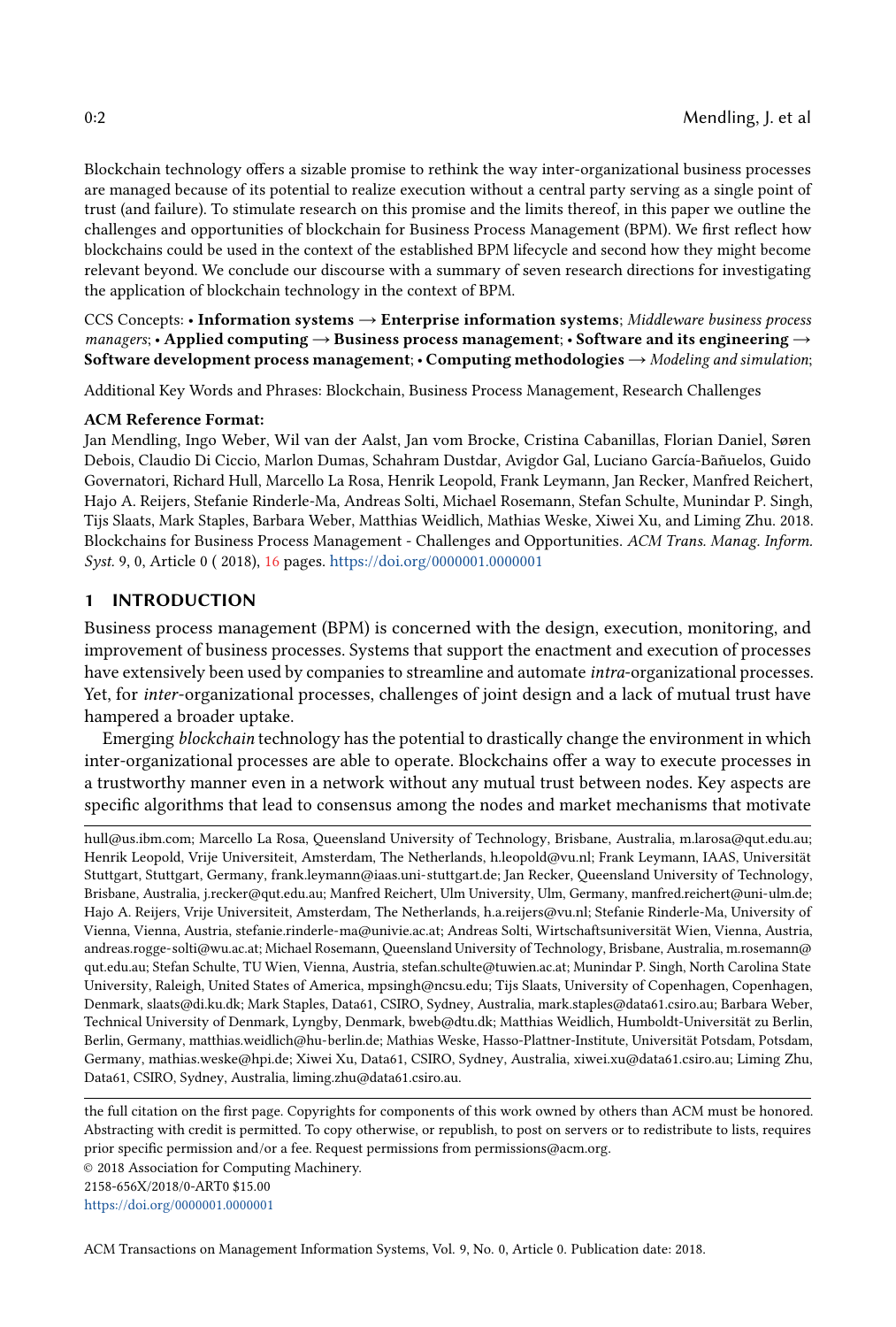Blockchain technology offers a sizable promise to rethink the way inter-organizational business processes are managed because of its potential to realize execution without a central party serving as a single point of trust (and failure). To stimulate research on this promise and the limits thereof, in this paper we outline the challenges and opportunities of blockchain for Business Process Management (BPM). We first reflect how blockchains could be used in the context of the established BPM lifecycle and second how they might become relevant beyond. We conclude our discourse with a summary of seven research directions for investigating the application of blockchain technology in the context of BPM.

CCS Concepts: • Information systems → Enterprise information systems; Middleware business process managers; • Applied computing  $\rightarrow$  Business process management; • Software and its engineering  $\rightarrow$ Software development process management;  $\cdot$  Computing methodologies  $\rightarrow$  Modeling and simulation;

Additional Key Words and Phrases: Blockchain, Business Process Management, Research Challenges

#### ACM Reference Format:

Jan Mendling, Ingo Weber, Wil van der Aalst, Jan vom Brocke, Cristina Cabanillas, Florian Daniel, Søren Debois, Claudio Di Ciccio, Marlon Dumas, Schahram Dustdar, Avigdor Gal, Luciano García-Bañuelos, Guido Governatori, Richard Hull, Marcello La Rosa, Henrik Leopold, Frank Leymann, Jan Recker, Manfred Reichert, Hajo A. Reijers, Stefanie Rinderle-Ma, Andreas Solti, Michael Rosemann, Stefan Schulte, Munindar P. Singh, Tijs Slaats, Mark Staples, Barbara Weber, Matthias Weidlich, Mathias Weske, Xiwei Xu, and Liming Zhu. 2018. Blockchains for Business Process Management - Challenges and Opportunities. ACM Trans. Manag. Inform. Syst. 9, 0, Article 0 ( 2018), [16](#page-15-0) pages. <https://doi.org/0000001.0000001>

#### 1 INTRODUCTION

Business process management (BPM) is concerned with the design, execution, monitoring, and improvement of business processes. Systems that support the enactment and execution of processes have extensively been used by companies to streamline and automate intra-organizational processes. Yet, for inter-organizational processes, challenges of joint design and a lack of mutual trust have hampered a broader uptake.

Emerging blockchain technology has the potential to drastically change the environment in which inter-organizational processes are able to operate. Blockchains offer a way to execute processes in a trustworthy manner even in a network without any mutual trust between nodes. Key aspects are specific algorithms that lead to consensus among the nodes and market mechanisms that motivate

hull@us.ibm.com; Marcello La Rosa, Queensland University of Technology, Brisbane, Australia, m.larosa@qut.edu.au; Henrik Leopold, Vrije Universiteit, Amsterdam, The Netherlands, h.leopold@vu.nl; Frank Leymann, IAAS, Universität Stuttgart, Stuttgart, Germany, frank.leymann@iaas.uni-stuttgart.de; Jan Recker, Queensland University of Technology, Brisbane, Australia, j.recker@qut.edu.au; Manfred Reichert, Ulm University, Ulm, Germany, manfred.reichert@uni-ulm.de; Hajo A. Reijers, Vrije Universiteit, Amsterdam, The Netherlands, h.a.reijers@vu.nl; Stefanie Rinderle-Ma, University of Vienna, Vienna, Austria, stefanie.rinderle-ma@univie.ac.at; Andreas Solti, Wirtschaftsuniversität Wien, Vienna, Austria, andreas.rogge-solti@wu.ac.at; Michael Rosemann, Queensland University of Technology, Brisbane, Australia, m.rosemann@ qut.edu.au; Stefan Schulte, TU Wien, Vienna, Austria, stefan.schulte@tuwien.ac.at; Munindar P. Singh, North Carolina State University, Raleigh, United States of America, mpsingh@ncsu.edu; Tijs Slaats, University of Copenhagen, Copenhagen, Denmark, slaats@di.ku.dk; Mark Staples, Data61, CSIRO, Sydney, Australia, mark.staples@data61.csiro.au; Barbara Weber, Technical University of Denmark, Lyngby, Denmark, bweb@dtu.dk; Matthias Weidlich, Humboldt-Universität zu Berlin, Berlin, Germany, matthias.weidlich@hu-berlin.de; Mathias Weske, Hasso-Plattner-Institute, Universität Potsdam, Potsdam, Germany, mathias.weske@hpi.de; Xiwei Xu, Data61, CSIRO, Sydney, Australia, xiwei.xu@data61.csiro.au; Liming Zhu, Data61, CSIRO, Sydney, Australia, liming.zhu@data61.csiro.au.

the full citation on the first page. Copyrights for components of this work owned by others than ACM must be honored. Abstracting with credit is permitted. To copy otherwise, or republish, to post on servers or to redistribute to lists, requires prior specific permission and/or a fee. Request permissions from permissions@acm.org.

© 2018 Association for Computing Machinery.

2158-656X/2018/0-ART0 \$15.00

<https://doi.org/0000001.0000001>

ACM Transactions on Management Information Systems, Vol. 9, No. 0, Article 0. Publication date: 2018.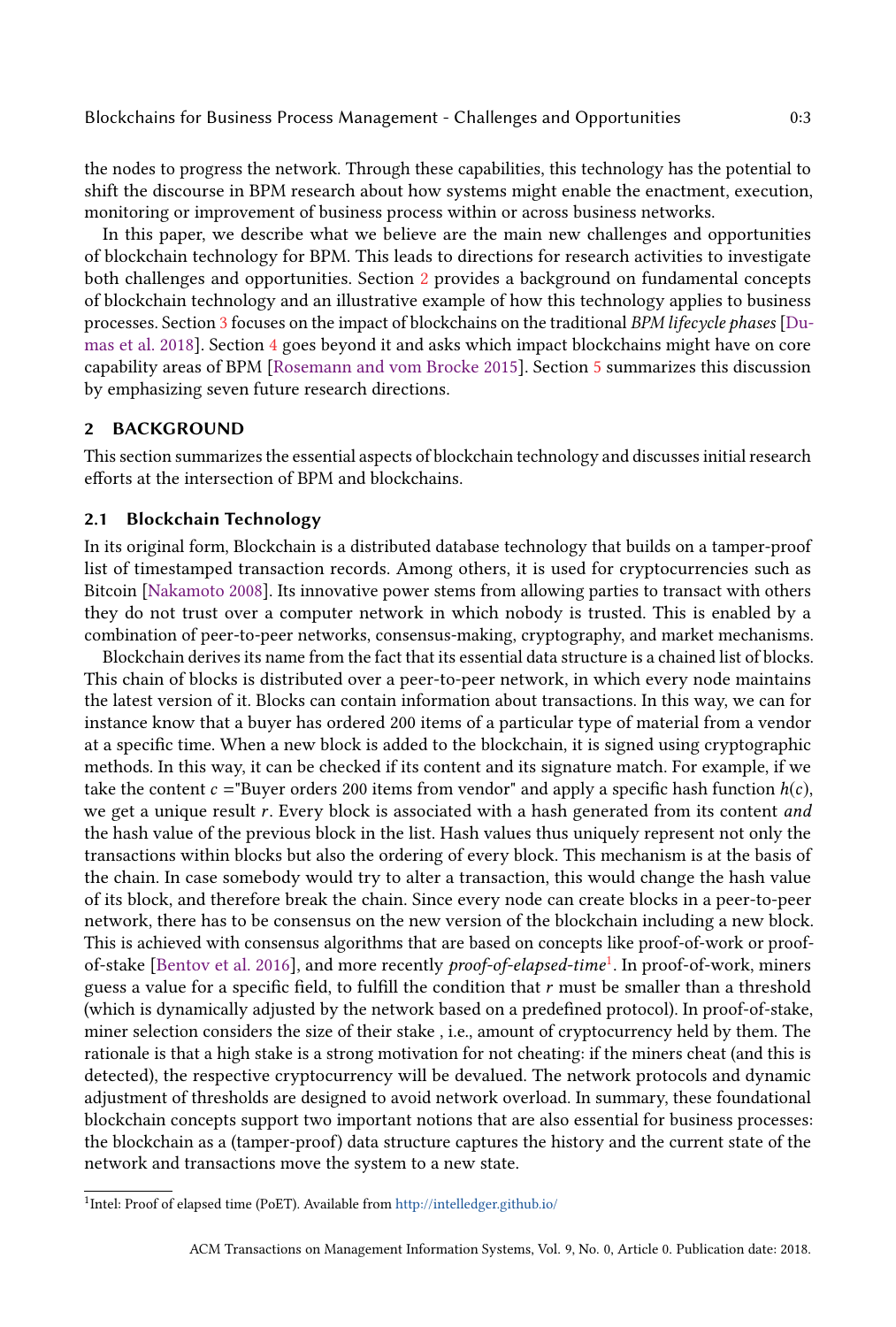the nodes to progress the network. Through these capabilities, this technology has the potential to shift the discourse in BPM research about how systems might enable the enactment, execution, monitoring or improvement of business process within or across business networks.

In this paper, we describe what we believe are the main new challenges and opportunities of blockchain technology for BPM. This leads to directions for research activities to investigate both challenges and opportunities. Section [2](#page-2-0) provides a background on fundamental concepts of blockchain technology and an illustrative example of how this technology applies to business processes. Section [3](#page-7-0) focuses on the impact of blockchains on the traditional BPM lifecycle phases [\[Du](#page-13-0)[mas et al.](#page-13-0) [2018\]](#page-13-0). Section [4](#page-10-0) goes beyond it and asks which impact blockchains might have on core capability areas of BPM [\[Rosemann and vom Brocke](#page-14-0) [2015\]](#page-14-0). Section [5](#page-11-0) summarizes this discussion by emphasizing seven future research directions.

#### <span id="page-2-0"></span>2 BACKGROUND

This section summarizes the essential aspects of blockchain technology and discusses initial research efforts at the intersection of BPM and blockchains.

#### 2.1 Blockchain Technology

In its original form, Blockchain is a distributed database technology that builds on a tamper-proof list of timestamped transaction records. Among others, it is used for cryptocurrencies such as Bitcoin [\[Nakamoto](#page-13-1) [2008\]](#page-13-1). Its innovative power stems from allowing parties to transact with others they do not trust over a computer network in which nobody is trusted. This is enabled by a combination of peer-to-peer networks, consensus-making, cryptography, and market mechanisms.

Blockchain derives its name from the fact that its essential data structure is a chained list of blocks. This chain of blocks is distributed over a peer-to-peer network, in which every node maintains the latest version of it. Blocks can contain information about transactions. In this way, we can for instance know that a buyer has ordered 200 items of a particular type of material from a vendor at a specific time. When a new block is added to the blockchain, it is signed using cryptographic methods. In this way, it can be checked if its content and its signature match. For example, if we take the content  $c = Buyer$  orders 200 items from vendor" and apply a specific hash function  $h(c)$ , we get a unique result r. Every block is associated with a hash generated from its content and the hash value of the previous block in the list. Hash values thus uniquely represent not only the transactions within blocks but also the ordering of every block. This mechanism is at the basis of the chain. In case somebody would try to alter a transaction, this would change the hash value of its block, and therefore break the chain. Since every node can create blocks in a peer-to-peer network, there has to be consensus on the new version of the blockchain including a new block. This is achieved with consensus algorithms that are based on concepts like proof-of-work or proof-of-stake [\[Bentov et al.](#page-12-0) [2016\]](#page-12-0), and more recently *proof-of-elapsed-time<sup>[1](#page-2-1)</sup>.* In proof-of-work, miners guess a value for a specific field, to fulfill the condition that r must be smaller than a threshold (which is dynamically adjusted by the network based on a predefined protocol). In proof-of-stake, miner selection considers the size of their stake , i.e., amount of cryptocurrency held by them. The rationale is that a high stake is a strong motivation for not cheating: if the miners cheat (and this is detected), the respective cryptocurrency will be devalued. The network protocols and dynamic adjustment of thresholds are designed to avoid network overload. In summary, these foundational blockchain concepts support two important notions that are also essential for business processes: the blockchain as a (tamper-proof) data structure captures the history and the current state of the network and transactions move the system to a new state.

<span id="page-2-1"></span><sup>&</sup>lt;sup>1</sup>Intel: Proof of elapsed time (PoET). Available from <http://intelledger.github.io/>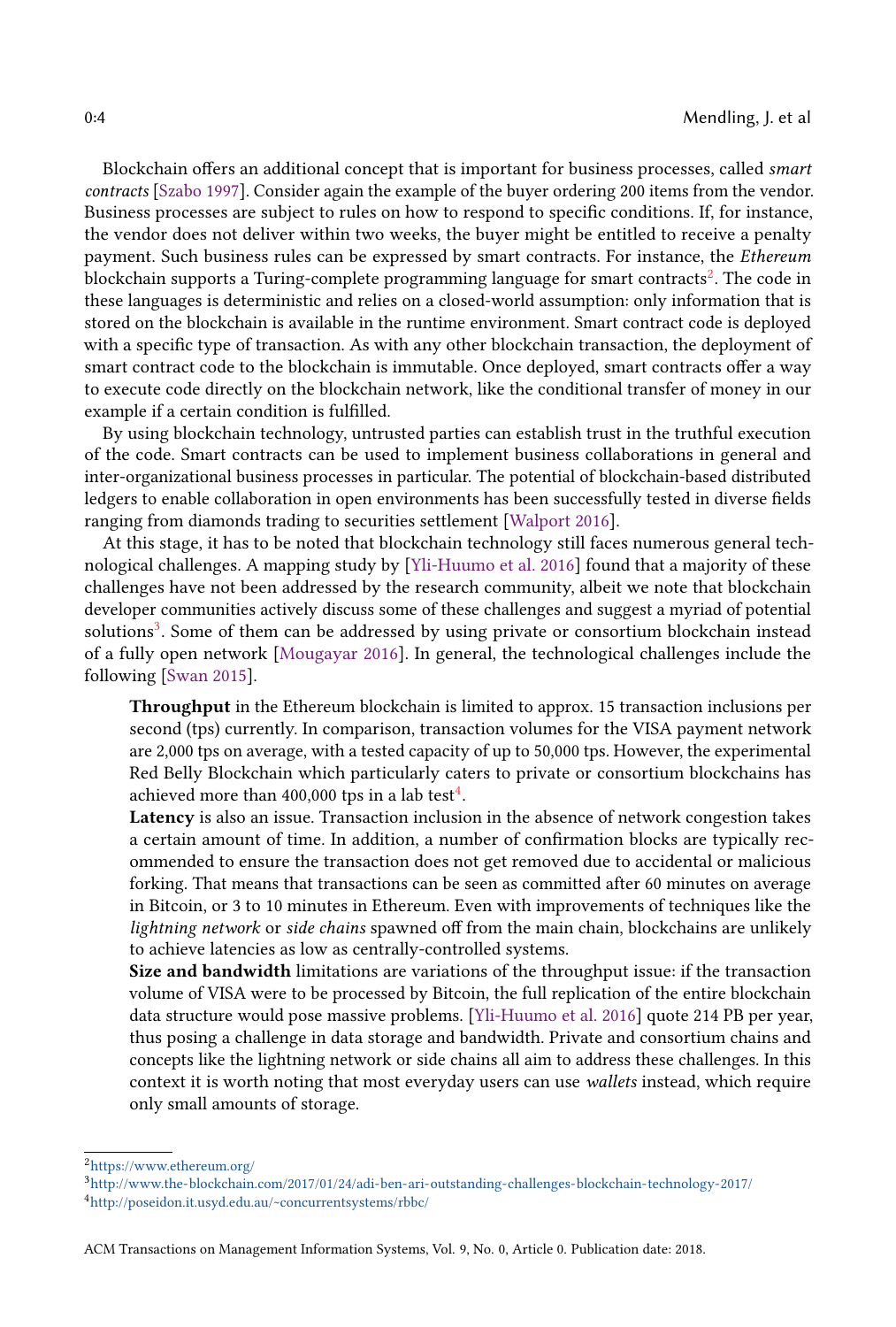Blockchain offers an additional concept that is important for business processes, called smart contracts [\[Szabo](#page-14-1) [1997\]](#page-14-1). Consider again the example of the buyer ordering 200 items from the vendor. Business processes are subject to rules on how to respond to specific conditions. If, for instance, the vendor does not deliver within two weeks, the buyer might be entitled to receive a penalty payment. Such business rules can be expressed by smart contracts. For instance, the Ethereum blockchain supports a Turing-complete programming language for smart contracts $^2$  $^2$ . The code in these languages is deterministic and relies on a closed-world assumption: only information that is stored on the blockchain is available in the runtime environment. Smart contract code is deployed with a specific type of transaction. As with any other blockchain transaction, the deployment of smart contract code to the blockchain is immutable. Once deployed, smart contracts offer a way to execute code directly on the blockchain network, like the conditional transfer of money in our example if a certain condition is fulfilled.

By using blockchain technology, untrusted parties can establish trust in the truthful execution of the code. Smart contracts can be used to implement business collaborations in general and inter-organizational business processes in particular. The potential of blockchain-based distributed ledgers to enable collaboration in open environments has been successfully tested in diverse fields ranging from diamonds trading to securities settlement [\[Walport](#page-14-2) [2016\]](#page-14-2).

At this stage, it has to be noted that blockchain technology still faces numerous general technological challenges. A mapping study by [\[Yli-Huumo et al.](#page-14-3) [2016\]](#page-14-3) found that a majority of these challenges have not been addressed by the research community, albeit we note that blockchain developer communities actively discuss some of these challenges and suggest a myriad of potential solutions<sup>[3](#page-3-1)</sup>. Some of them can be addressed by using private or consortium blockchain instead of a fully open network [\[Mougayar](#page-13-2) [2016\]](#page-13-2). In general, the technological challenges include the following [\[Swan](#page-14-4) [2015\]](#page-14-4).

Throughput in the Ethereum blockchain is limited to approx. 15 transaction inclusions per second (tps) currently. In comparison, transaction volumes for the VISA payment network are 2,000 tps on average, with a tested capacity of up to 50,000 tps. However, the experimental Red Belly Blockchain which particularly caters to private or consortium blockchains has achieved more than [4](#page-3-2)00,000 tps in a lab test $^4$ .

Latency is also an issue. Transaction inclusion in the absence of network congestion takes a certain amount of time. In addition, a number of confirmation blocks are typically recommended to ensure the transaction does not get removed due to accidental or malicious forking. That means that transactions can be seen as committed after 60 minutes on average in Bitcoin, or 3 to 10 minutes in Ethereum. Even with improvements of techniques like the lightning network or side chains spawned off from the main chain, blockchains are unlikely to achieve latencies as low as centrally-controlled systems.

Size and bandwidth limitations are variations of the throughput issue: if the transaction volume of VISA were to be processed by Bitcoin, the full replication of the entire blockchain data structure would pose massive problems. [\[Yli-Huumo et al.](#page-14-3) [2016\]](#page-14-3) quote 214 PB per year, thus posing a challenge in data storage and bandwidth. Private and consortium chains and concepts like the lightning network or side chains all aim to address these challenges. In this context it is worth noting that most everyday users can use wallets instead, which require only small amounts of storage.

<span id="page-3-0"></span> $^2$ <https://www.ethereum.org/>  $\,$ 

<span id="page-3-2"></span><span id="page-3-1"></span><sup>3</sup><http://www.the-blockchain.com/2017/01/24/adi-ben-ari-outstanding-challenges-blockchain-technology-2017/> <sup>4</sup><http://poseidon.it.usyd.edu.au/~concurrentsystems/rbbc/>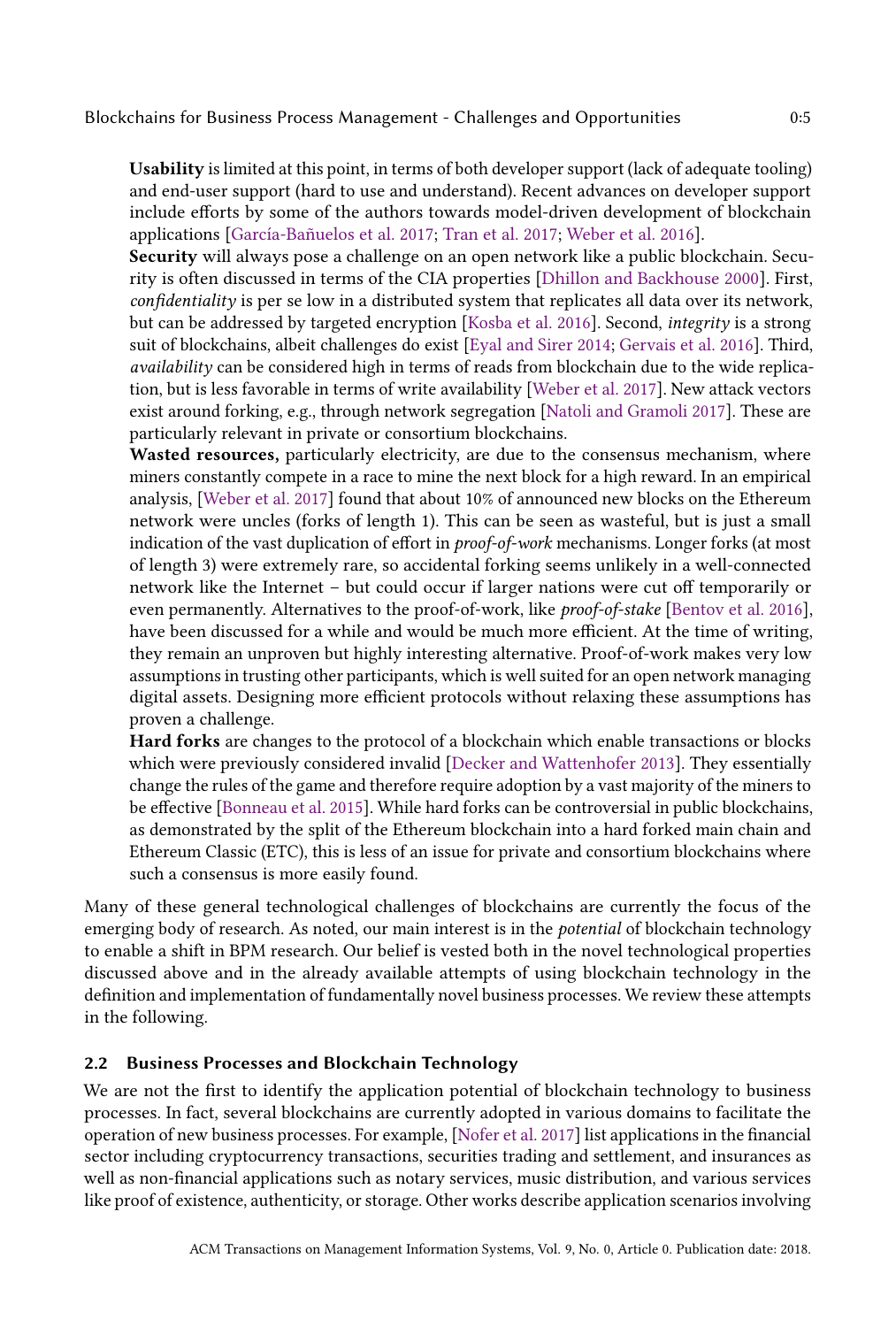Blockchains for Business Process Management - Challenges and Opportunities 0:5

Usability is limited at this point, in terms of both developer support (lack of adequate tooling) and end-user support (hard to use and understand). Recent advances on developer support include efforts by some of the authors towards model-driven development of blockchain applications [\[García-Bañuelos et al.](#page-13-3) [2017;](#page-13-3) [Tran et al.](#page-14-5) [2017;](#page-14-5) [Weber et al.](#page-14-6) [2016\]](#page-14-6).

Security will always pose a challenge on an open network like a public blockchain. Security is often discussed in terms of the CIA properties [\[Dhillon and Backhouse](#page-13-4) [2000\]](#page-13-4). First, confidentiality is per se low in a distributed system that replicates all data over its network, but can be addressed by targeted encryption [\[Kosba et al.](#page-13-5) [2016\]](#page-13-5). Second, integrity is a strong suit of blockchains, albeit challenges do exist [\[Eyal and Sirer](#page-13-6) [2014;](#page-13-6) [Gervais et al.](#page-13-7) [2016\]](#page-13-7). Third, availability can be considered high in terms of reads from blockchain due to the wide replication, but is less favorable in terms of write availability [\[Weber et al.](#page-14-7) [2017\]](#page-14-7). New attack vectors exist around forking, e.g., through network segregation [\[Natoli and Gramoli](#page-14-8) [2017\]](#page-14-8). These are particularly relevant in private or consortium blockchains.

Wasted resources, particularly electricity, are due to the consensus mechanism, where miners constantly compete in a race to mine the next block for a high reward. In an empirical analysis, [\[Weber et al.](#page-14-7) [2017\]](#page-14-7) found that about 10% of announced new blocks on the Ethereum network were uncles (forks of length 1). This can be seen as wasteful, but is just a small indication of the vast duplication of effort in proof-of-work mechanisms. Longer forks (at most of length 3) were extremely rare, so accidental forking seems unlikely in a well-connected network like the Internet – but could occur if larger nations were cut off temporarily or even permanently. Alternatives to the proof-of-work, like *proof-of-stake* [\[Bentov et al.](#page-12-0) [2016\]](#page-12-0), have been discussed for a while and would be much more efficient. At the time of writing, they remain an unproven but highly interesting alternative. Proof-of-work makes very low assumptions in trusting other participants, which is well suited for an open network managing digital assets. Designing more efficient protocols without relaxing these assumptions has proven a challenge.

Hard forks are changes to the protocol of a blockchain which enable transactions or blocks which were previously considered invalid [\[Decker and Wattenhofer](#page-13-8) [2013\]](#page-13-8). They essentially change the rules of the game and therefore require adoption by a vast majority of the miners to be effective [\[Bonneau et al.](#page-12-1) [2015\]](#page-12-1). While hard forks can be controversial in public blockchains, as demonstrated by the split of the Ethereum blockchain into a hard forked main chain and Ethereum Classic (ETC), this is less of an issue for private and consortium blockchains where such a consensus is more easily found.

Many of these general technological challenges of blockchains are currently the focus of the emerging body of research. As noted, our main interest is in the *potential* of blockchain technology to enable a shift in BPM research. Our belief is vested both in the novel technological properties discussed above and in the already available attempts of using blockchain technology in the definition and implementation of fundamentally novel business processes. We review these attempts in the following.

## 2.2 Business Processes and Blockchain Technology

We are not the first to identify the application potential of blockchain technology to business processes. In fact, several blockchains are currently adopted in various domains to facilitate the operation of new business processes. For example, [\[Nofer et al.](#page-14-9) [2017\]](#page-14-9) list applications in the financial sector including cryptocurrency transactions, securities trading and settlement, and insurances as well as non-financial applications such as notary services, music distribution, and various services like proof of existence, authenticity, or storage. Other works describe application scenarios involving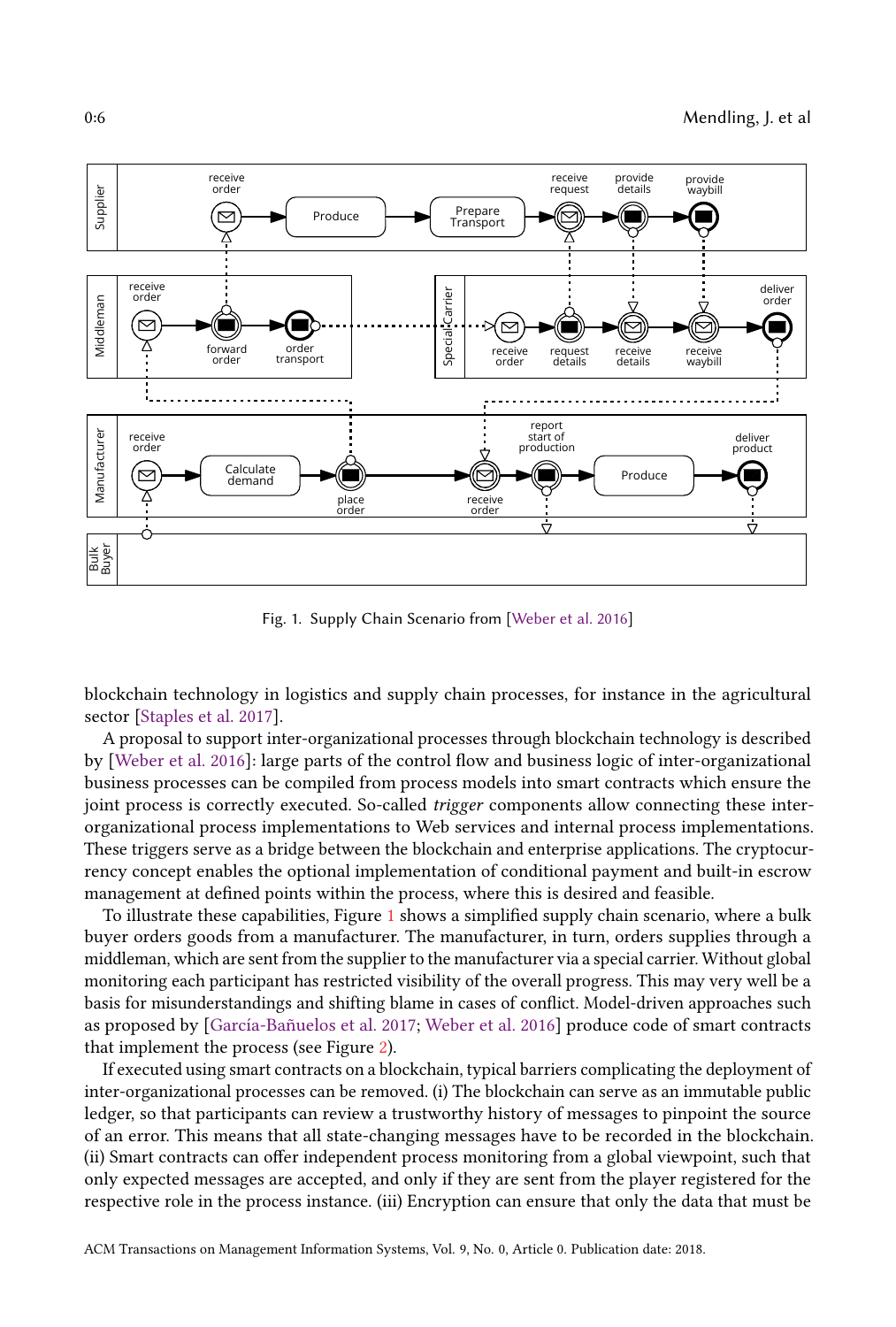<span id="page-5-0"></span>

Fig. 1. Supply Chain Scenario from [\[Weber et al.](#page-14-6) [2016\]](#page-14-6)

blockchain technology in logistics and supply chain processes, for instance in the agricultural sector [\[Staples et al.](#page-14-10) [2017\]](#page-14-10).

A proposal to support inter-organizational processes through blockchain technology is described by [\[Weber et al.](#page-14-6) [2016\]](#page-14-6): large parts of the control flow and business logic of inter-organizational business processes can be compiled from process models into smart contracts which ensure the joint process is correctly executed. So-called *trigger* components allow connecting these interorganizational process implementations to Web services and internal process implementations. These triggers serve as a bridge between the blockchain and enterprise applications. The cryptocurrency concept enables the optional implementation of conditional payment and built-in escrow management at defined points within the process, where this is desired and feasible.

To illustrate these capabilities, Figure [1](#page-5-0) shows a simplified supply chain scenario, where a bulk buyer orders goods from a manufacturer. The manufacturer, in turn, orders supplies through a middleman, which are sent from the supplier to the manufacturer via a special carrier. Without global monitoring each participant has restricted visibility of the overall progress. This may very well be a basis for misunderstandings and shifting blame in cases of conflict. Model-driven approaches such as proposed by [\[García-Bañuelos et al.](#page-13-3) [2017;](#page-13-3) [Weber et al.](#page-14-6) [2016\]](#page-14-6) produce code of smart contracts that implement the process (see Figure [2\)](#page-6-0).

If executed using smart contracts on a blockchain, typical barriers complicating the deployment of inter-organizational processes can be removed. (i) The blockchain can serve as an immutable public ledger, so that participants can review a trustworthy history of messages to pinpoint the source of an error. This means that all state-changing messages have to be recorded in the blockchain. (ii) Smart contracts can offer independent process monitoring from a global viewpoint, such that only expected messages are accepted, and only if they are sent from the player registered for the respective role in the process instance. (iii) Encryption can ensure that only the data that must be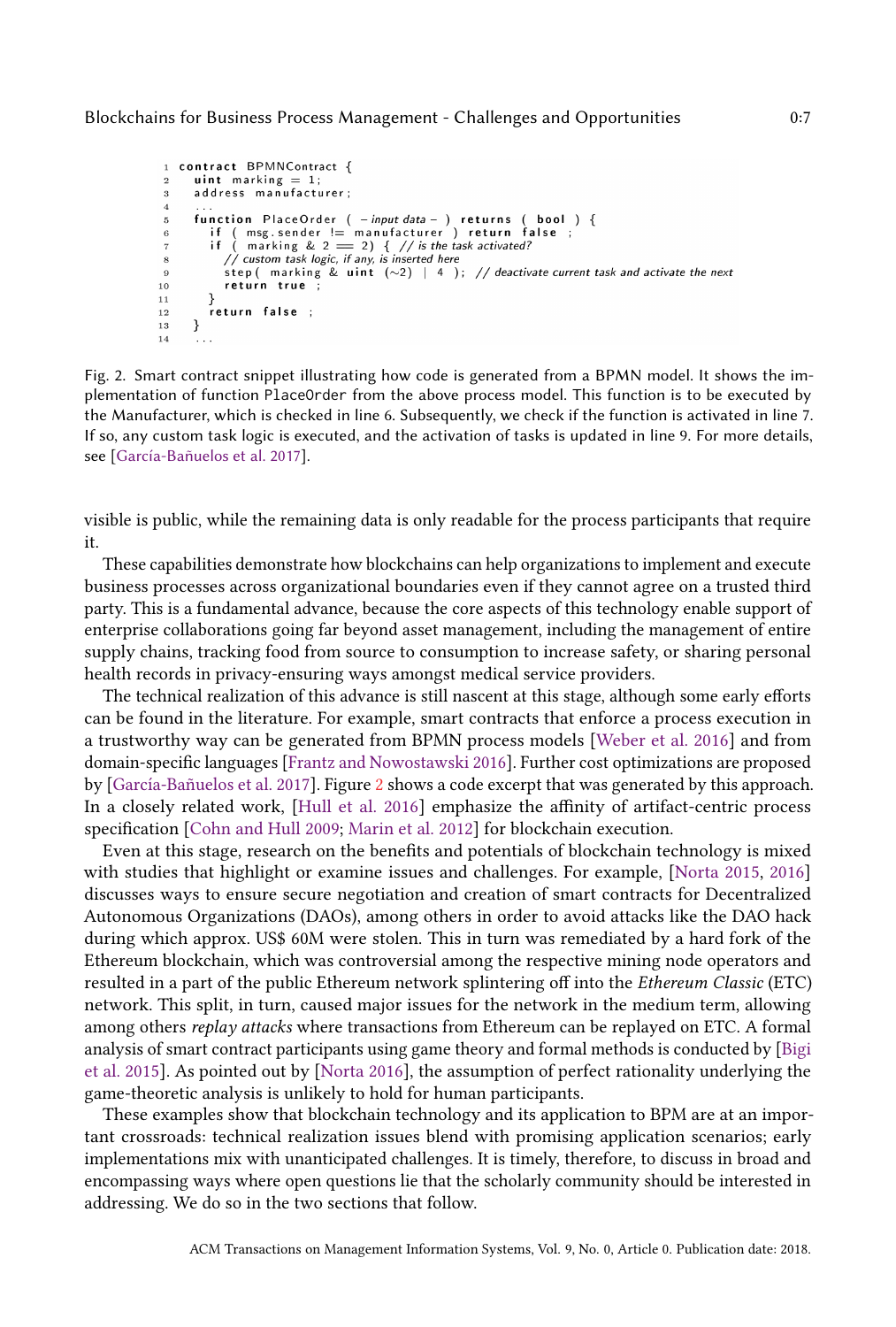```
1 contract BPMNContract {
         uint marking = 1;
 \overline{2}\mathbf{a}address manufacturer;
 \overline{4}function PlaceOrder (-input data - ) returns (bool) {<br>if (msg.sender != manufacturer ) return false ;<br>if (marking & 2 = 2) {//is the task activated?<br>// custom task logic, if any, is inserted here
 \overline{5}\beta\overline{7}8
                  step ( marking & uint (\sim 2) | 4 ); // deactivate current task and activate the next
 \overline{9}10return true ;
11- }
              return false ;
12
         \mathcal{E}13
14
```
Fig. 2. Smart contract snippet illustrating how code is generated from a BPMN model. It shows the implementation of function PlaceOrder from the above process model. This function is to be executed by the Manufacturer, which is checked in line 6. Subsequently, we check if the function is activated in line 7. If so, any custom task logic is executed, and the activation of tasks is updated in line 9. For more details, see [\[García-Bañuelos et al.](#page-13-3) [2017\]](#page-13-3).

visible is public, while the remaining data is only readable for the process participants that require it.

These capabilities demonstrate how blockchains can help organizations to implement and execute business processes across organizational boundaries even if they cannot agree on a trusted third party. This is a fundamental advance, because the core aspects of this technology enable support of enterprise collaborations going far beyond asset management, including the management of entire supply chains, tracking food from source to consumption to increase safety, or sharing personal health records in privacy-ensuring ways amongst medical service providers.

The technical realization of this advance is still nascent at this stage, although some early efforts can be found in the literature. For example, smart contracts that enforce a process execution in a trustworthy way can be generated from BPMN process models [\[Weber et al.](#page-14-6) [2016\]](#page-14-6) and from domain-specific languages [\[Frantz and Nowostawski](#page-13-9) [2016\]](#page-13-9). Further cost optimizations are proposed by [\[García-Bañuelos et al.](#page-13-3) [2017\]](#page-13-3). Figure [2](#page-6-0) shows a code excerpt that was generated by this approach. In a closely related work, [\[Hull et al.](#page-13-10) [2016\]](#page-13-10) emphasize the affinity of artifact-centric process specification [\[Cohn and Hull](#page-13-11) [2009;](#page-13-11) [Marin et al.](#page-13-12) [2012\]](#page-13-12) for blockchain execution.

Even at this stage, research on the benefits and potentials of blockchain technology is mixed with studies that highlight or examine issues and challenges. For example, [\[Norta](#page-14-11) [2015,](#page-14-11) [2016\]](#page-14-12) discusses ways to ensure secure negotiation and creation of smart contracts for Decentralized Autonomous Organizations (DAOs), among others in order to avoid attacks like the DAO hack during which approx. US\$ 60M were stolen. This in turn was remediated by a hard fork of the Ethereum blockchain, which was controversial among the respective mining node operators and resulted in a part of the public Ethereum network splintering off into the Ethereum Classic (ETC) network. This split, in turn, caused major issues for the network in the medium term, allowing among others replay attacks where transactions from Ethereum can be replayed on ETC. A formal analysis of smart contract participants using game theory and formal methods is conducted by [\[Bigi](#page-12-2) [et al.](#page-12-2) [2015\]](#page-12-2). As pointed out by [\[Norta](#page-14-12) [2016\]](#page-14-12), the assumption of perfect rationality underlying the game-theoretic analysis is unlikely to hold for human participants.

These examples show that blockchain technology and its application to BPM are at an important crossroads: technical realization issues blend with promising application scenarios; early implementations mix with unanticipated challenges. It is timely, therefore, to discuss in broad and encompassing ways where open questions lie that the scholarly community should be interested in addressing. We do so in the two sections that follow.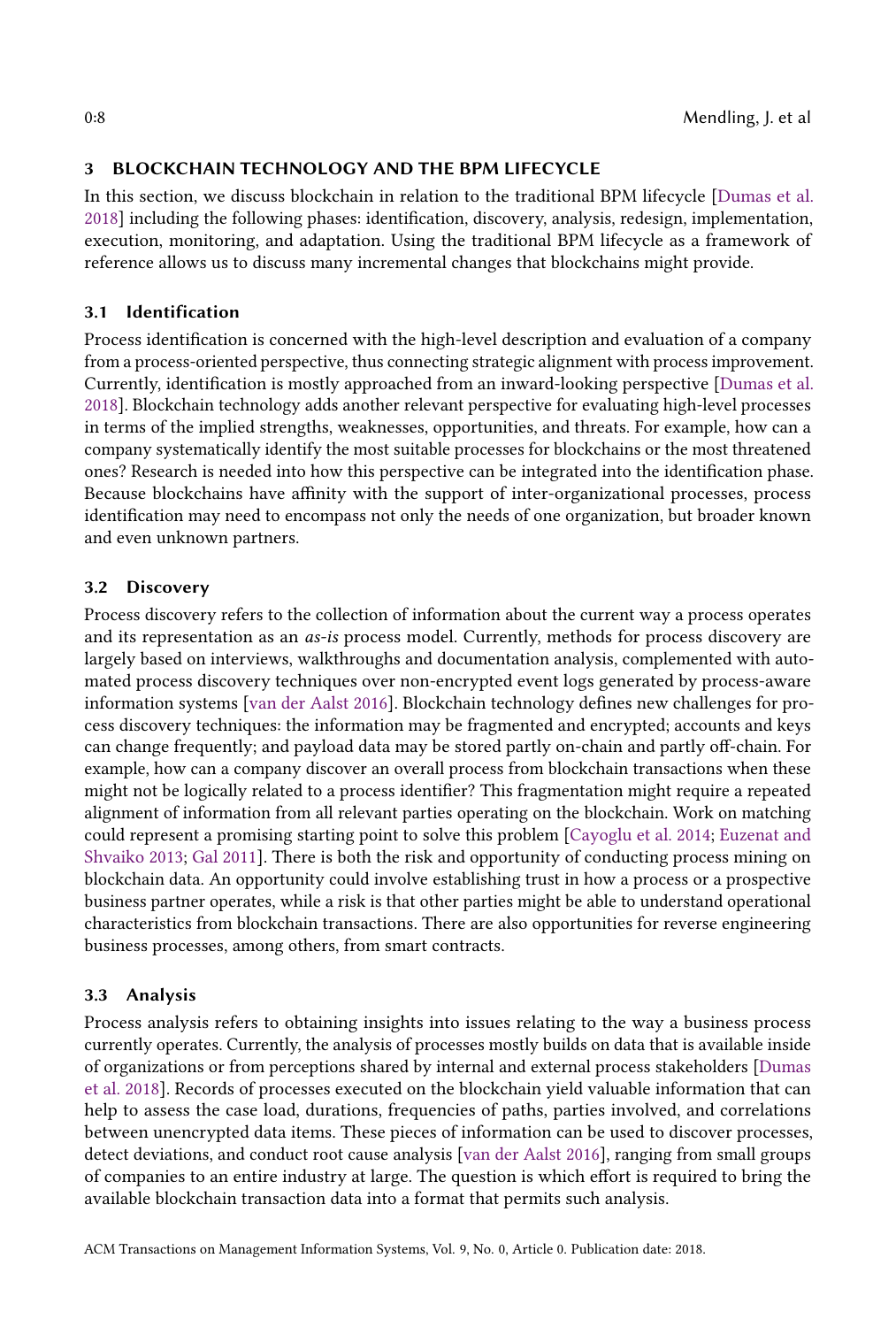## <span id="page-7-0"></span>3 BLOCKCHAIN TECHNOLOGY AND THE BPM LIFECYCLE

In this section, we discuss blockchain in relation to the traditional BPM lifecycle [\[Dumas et al.](#page-13-0) [2018\]](#page-13-0) including the following phases: identification, discovery, analysis, redesign, implementation, execution, monitoring, and adaptation. Using the traditional BPM lifecycle as a framework of reference allows us to discuss many incremental changes that blockchains might provide.

## 3.1 Identification

Process identification is concerned with the high-level description and evaluation of a company from a process-oriented perspective, thus connecting strategic alignment with process improvement. Currently, identification is mostly approached from an inward-looking perspective [\[Dumas et al.](#page-13-0) [2018\]](#page-13-0). Blockchain technology adds another relevant perspective for evaluating high-level processes in terms of the implied strengths, weaknesses, opportunities, and threats. For example, how can a company systematically identify the most suitable processes for blockchains or the most threatened ones? Research is needed into how this perspective can be integrated into the identification phase. Because blockchains have affinity with the support of inter-organizational processes, process identification may need to encompass not only the needs of one organization, but broader known and even unknown partners.

## 3.2 Discovery

Process discovery refers to the collection of information about the current way a process operates and its representation as an as-is process model. Currently, methods for process discovery are largely based on interviews, walkthroughs and documentation analysis, complemented with automated process discovery techniques over non-encrypted event logs generated by process-aware information systems [\[van der Aalst](#page-14-13) [2016\]](#page-14-13). Blockchain technology defines new challenges for process discovery techniques: the information may be fragmented and encrypted; accounts and keys can change frequently; and payload data may be stored partly on-chain and partly off-chain. For example, how can a company discover an overall process from blockchain transactions when these might not be logically related to a process identifier? This fragmentation might require a repeated alignment of information from all relevant parties operating on the blockchain. Work on matching could represent a promising starting point to solve this problem [\[Cayoglu et al.](#page-13-13) [2014;](#page-13-13) [Euzenat and](#page-13-14) [Shvaiko](#page-13-14) [2013;](#page-13-14) [Gal](#page-13-15) [2011\]](#page-13-15). There is both the risk and opportunity of conducting process mining on blockchain data. An opportunity could involve establishing trust in how a process or a prospective business partner operates, while a risk is that other parties might be able to understand operational characteristics from blockchain transactions. There are also opportunities for reverse engineering business processes, among others, from smart contracts.

## 3.3 Analysis

Process analysis refers to obtaining insights into issues relating to the way a business process currently operates. Currently, the analysis of processes mostly builds on data that is available inside of organizations or from perceptions shared by internal and external process stakeholders [\[Dumas](#page-13-0) [et al.](#page-13-0) [2018\]](#page-13-0). Records of processes executed on the blockchain yield valuable information that can help to assess the case load, durations, frequencies of paths, parties involved, and correlations between unencrypted data items. These pieces of information can be used to discover processes, detect deviations, and conduct root cause analysis [\[van der Aalst](#page-14-13) [2016\]](#page-14-13), ranging from small groups of companies to an entire industry at large. The question is which effort is required to bring the available blockchain transaction data into a format that permits such analysis.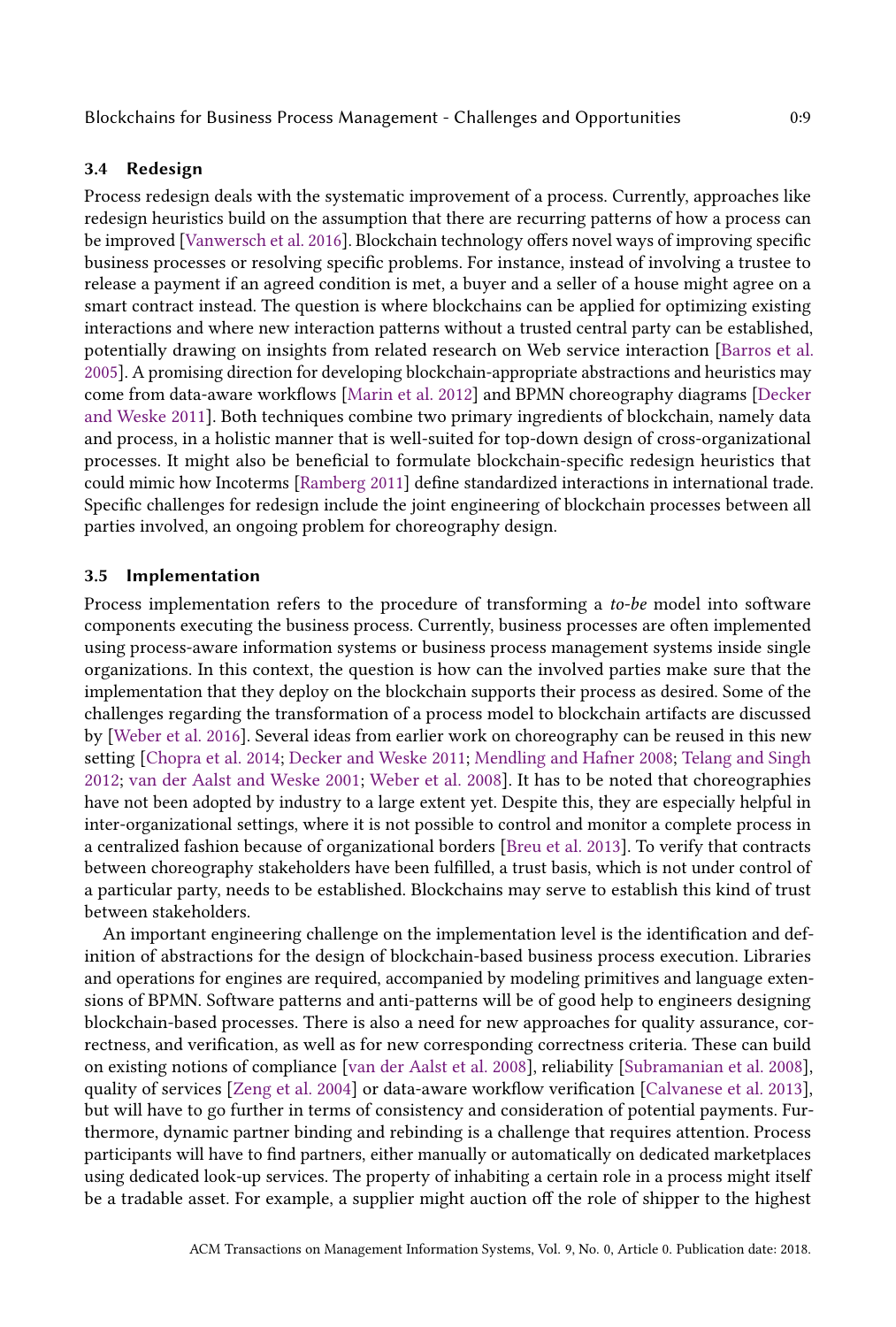#### 3.4 Redesign

Process redesign deals with the systematic improvement of a process. Currently, approaches like redesign heuristics build on the assumption that there are recurring patterns of how a process can be improved [\[Vanwersch et al.](#page-14-14) [2016\]](#page-14-14). Blockchain technology offers novel ways of improving specific business processes or resolving specific problems. For instance, instead of involving a trustee to release a payment if an agreed condition is met, a buyer and a seller of a house might agree on a smart contract instead. The question is where blockchains can be applied for optimizing existing interactions and where new interaction patterns without a trusted central party can be established, potentially drawing on insights from related research on Web service interaction [\[Barros et al.](#page-12-3) [2005\]](#page-12-3). A promising direction for developing blockchain-appropriate abstractions and heuristics may come from data-aware workflows [\[Marin et al.](#page-13-12) [2012\]](#page-13-12) and BPMN choreography diagrams [\[Decker](#page-13-16) [and Weske](#page-13-16) [2011\]](#page-13-16). Both techniques combine two primary ingredients of blockchain, namely data and process, in a holistic manner that is well-suited for top-down design of cross-organizational processes. It might also be beneficial to formulate blockchain-specific redesign heuristics that could mimic how Incoterms [\[Ramberg](#page-14-15) [2011\]](#page-14-15) define standardized interactions in international trade. Specific challenges for redesign include the joint engineering of blockchain processes between all parties involved, an ongoing problem for choreography design.

#### 3.5 Implementation

Process implementation refers to the procedure of transforming a to-be model into software components executing the business process. Currently, business processes are often implemented using process-aware information systems or business process management systems inside single organizations. In this context, the question is how can the involved parties make sure that the implementation that they deploy on the blockchain supports their process as desired. Some of the challenges regarding the transformation of a process model to blockchain artifacts are discussed by [\[Weber et al.](#page-14-6) [2016\]](#page-14-6). Several ideas from earlier work on choreography can be reused in this new setting [\[Chopra et al.](#page-13-17) [2014;](#page-13-17) [Decker and Weske](#page-13-16) [2011;](#page-13-16) [Mendling and Hafner](#page-13-18) [2008;](#page-13-18) [Telang and Singh](#page-14-16) [2012;](#page-14-16) [van der Aalst and Weske](#page-14-17) [2001;](#page-14-17) [Weber et al.](#page-14-18) [2008\]](#page-14-18). It has to be noted that choreographies have not been adopted by industry to a large extent yet. Despite this, they are especially helpful in inter-organizational settings, where it is not possible to control and monitor a complete process in a centralized fashion because of organizational borders [\[Breu et al.](#page-12-4) [2013\]](#page-12-4). To verify that contracts between choreography stakeholders have been fulfilled, a trust basis, which is not under control of a particular party, needs to be established. Blockchains may serve to establish this kind of trust between stakeholders.

An important engineering challenge on the implementation level is the identification and definition of abstractions for the design of blockchain-based business process execution. Libraries and operations for engines are required, accompanied by modeling primitives and language extensions of BPMN. Software patterns and anti-patterns will be of good help to engineers designing blockchain-based processes. There is also a need for new approaches for quality assurance, correctness, and verification, as well as for new corresponding correctness criteria. These can build on existing notions of compliance [\[van der Aalst et al.](#page-14-19) [2008\]](#page-14-19), reliability [\[Subramanian et al.](#page-14-20) [2008\]](#page-14-20), quality of services [\[Zeng et al.](#page-15-1) [2004\]](#page-15-1) or data-aware workflow verification [\[Calvanese et al.](#page-12-5) [2013\]](#page-12-5), but will have to go further in terms of consistency and consideration of potential payments. Furthermore, dynamic partner binding and rebinding is a challenge that requires attention. Process participants will have to find partners, either manually or automatically on dedicated marketplaces using dedicated look-up services. The property of inhabiting a certain role in a process might itself be a tradable asset. For example, a supplier might auction off the role of shipper to the highest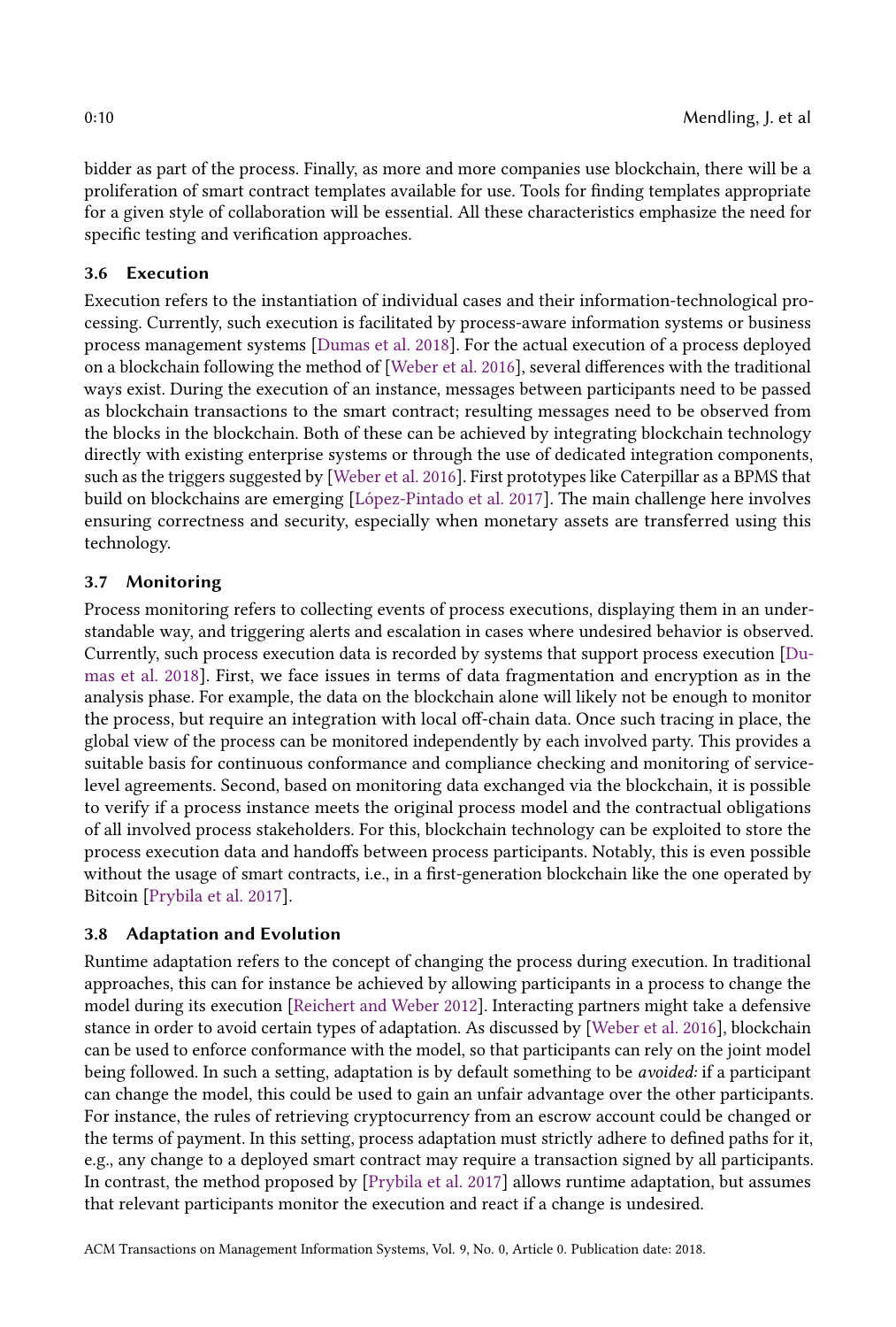bidder as part of the process. Finally, as more and more companies use blockchain, there will be a proliferation of smart contract templates available for use. Tools for finding templates appropriate for a given style of collaboration will be essential. All these characteristics emphasize the need for specific testing and verification approaches.

## 3.6 Execution

Execution refers to the instantiation of individual cases and their information-technological processing. Currently, such execution is facilitated by process-aware information systems or business process management systems [\[Dumas et al.](#page-13-0) [2018\]](#page-13-0). For the actual execution of a process deployed on a blockchain following the method of [\[Weber et al.](#page-14-6) [2016\]](#page-14-6), several differences with the traditional ways exist. During the execution of an instance, messages between participants need to be passed as blockchain transactions to the smart contract; resulting messages need to be observed from the blocks in the blockchain. Both of these can be achieved by integrating blockchain technology directly with existing enterprise systems or through the use of dedicated integration components, such as the triggers suggested by [\[Weber et al.](#page-14-6) [2016\]](#page-14-6). First prototypes like Caterpillar as a BPMS that build on blockchains are emerging [\[López-Pintado et al.](#page-13-19) [2017\]](#page-13-19). The main challenge here involves ensuring correctness and security, especially when monetary assets are transferred using this technology.

## 3.7 Monitoring

Process monitoring refers to collecting events of process executions, displaying them in an understandable way, and triggering alerts and escalation in cases where undesired behavior is observed. Currently, such process execution data is recorded by systems that support process execution [\[Du](#page-13-0)[mas et al.](#page-13-0) [2018\]](#page-13-0). First, we face issues in terms of data fragmentation and encryption as in the analysis phase. For example, the data on the blockchain alone will likely not be enough to monitor the process, but require an integration with local off-chain data. Once such tracing in place, the global view of the process can be monitored independently by each involved party. This provides a suitable basis for continuous conformance and compliance checking and monitoring of servicelevel agreements. Second, based on monitoring data exchanged via the blockchain, it is possible to verify if a process instance meets the original process model and the contractual obligations of all involved process stakeholders. For this, blockchain technology can be exploited to store the process execution data and handoffs between process participants. Notably, this is even possible without the usage of smart contracts, i.e., in a first-generation blockchain like the one operated by Bitcoin [\[Prybila et al.](#page-14-21) [2017\]](#page-14-21).

## 3.8 Adaptation and Evolution

Runtime adaptation refers to the concept of changing the process during execution. In traditional approaches, this can for instance be achieved by allowing participants in a process to change the model during its execution [\[Reichert and Weber](#page-14-22) [2012\]](#page-14-22). Interacting partners might take a defensive stance in order to avoid certain types of adaptation. As discussed by [\[Weber et al.](#page-14-6) [2016\]](#page-14-6), blockchain can be used to enforce conformance with the model, so that participants can rely on the joint model being followed. In such a setting, adaptation is by default something to be avoided: if a participant can change the model, this could be used to gain an unfair advantage over the other participants. For instance, the rules of retrieving cryptocurrency from an escrow account could be changed or the terms of payment. In this setting, process adaptation must strictly adhere to defined paths for it, e.g., any change to a deployed smart contract may require a transaction signed by all participants. In contrast, the method proposed by [\[Prybila et al.](#page-14-21) [2017\]](#page-14-21) allows runtime adaptation, but assumes that relevant participants monitor the execution and react if a change is undesired.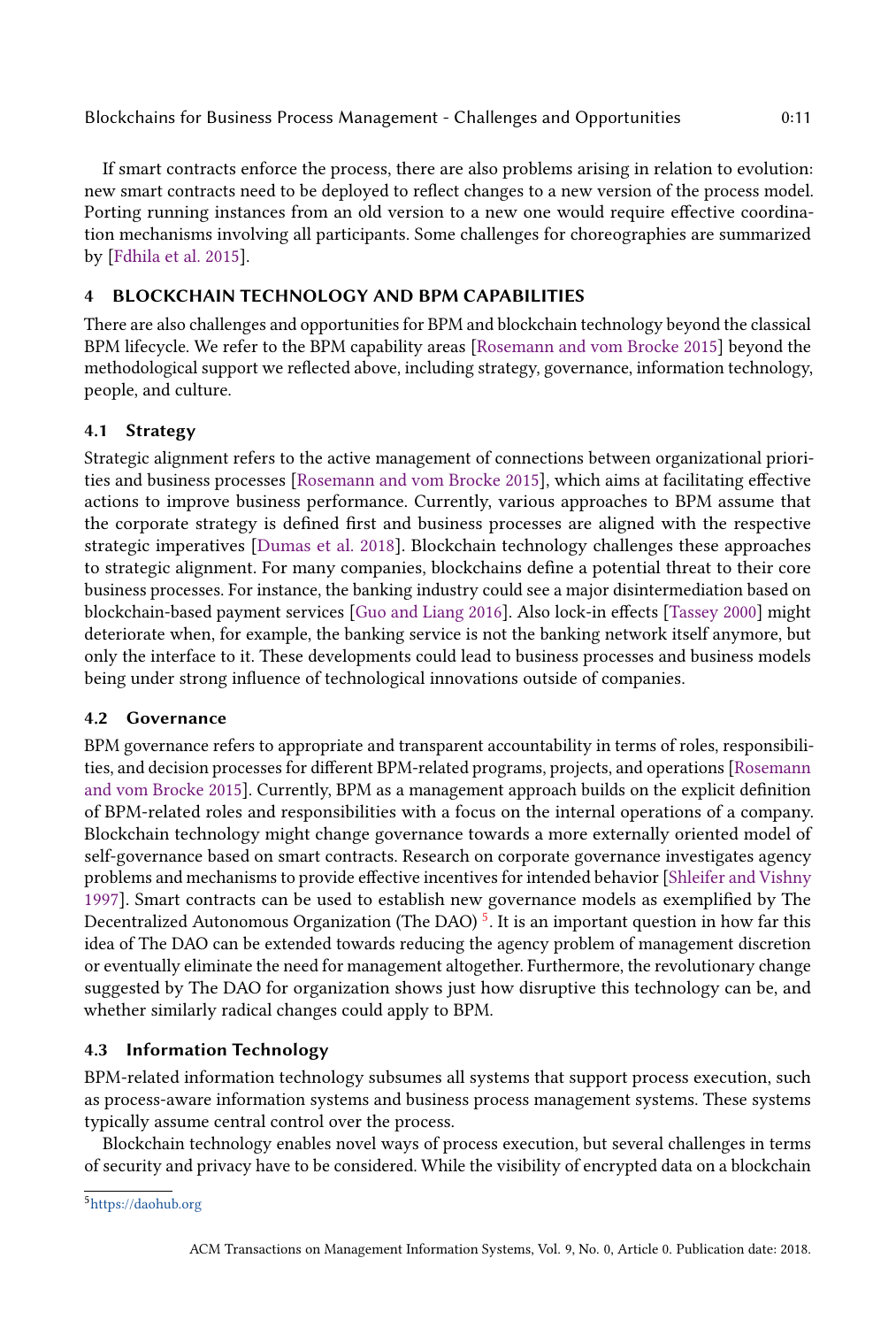If smart contracts enforce the process, there are also problems arising in relation to evolution: new smart contracts need to be deployed to reflect changes to a new version of the process model. Porting running instances from an old version to a new one would require effective coordination mechanisms involving all participants. Some challenges for choreographies are summarized by [\[Fdhila et al.](#page-13-20) [2015\]](#page-13-20).

## <span id="page-10-0"></span>BLOCKCHAIN TECHNOLOGY AND BPM CAPABILITIES

There are also challenges and opportunities for BPM and blockchain technology beyond the classical BPM lifecycle. We refer to the BPM capability areas [\[Rosemann and vom Brocke](#page-14-0) [2015\]](#page-14-0) beyond the methodological support we reflected above, including strategy, governance, information technology, people, and culture.

## 4.1 Strategy

Strategic alignment refers to the active management of connections between organizational priorities and business processes [\[Rosemann and vom Brocke](#page-14-0) [2015\]](#page-14-0), which aims at facilitating effective actions to improve business performance. Currently, various approaches to BPM assume that the corporate strategy is defined first and business processes are aligned with the respective strategic imperatives [\[Dumas et al.](#page-13-0) [2018\]](#page-13-0). Blockchain technology challenges these approaches to strategic alignment. For many companies, blockchains define a potential threat to their core business processes. For instance, the banking industry could see a major disintermediation based on blockchain-based payment services [\[Guo and Liang](#page-13-21) [2016\]](#page-13-21). Also lock-in effects [\[Tassey](#page-14-23) [2000\]](#page-14-23) might deteriorate when, for example, the banking service is not the banking network itself anymore, but only the interface to it. These developments could lead to business processes and business models being under strong influence of technological innovations outside of companies.

## 4.2 Governance

BPM governance refers to appropriate and transparent accountability in terms of roles, responsibilities, and decision processes for different BPM-related programs, projects, and operations [\[Rosemann](#page-14-0) [and vom Brocke](#page-14-0) [2015\]](#page-14-0). Currently, BPM as a management approach builds on the explicit definition of BPM-related roles and responsibilities with a focus on the internal operations of a company. Blockchain technology might change governance towards a more externally oriented model of self-governance based on smart contracts. Research on corporate governance investigates agency problems and mechanisms to provide effective incentives for intended behavior [\[Shleifer and Vishny](#page-14-24) [1997\]](#page-14-24). Smart contracts can be used to establish new governance models as exemplified by The Decentralized Autonomous Organization (The DAO)  $^5$  $^5$ . It is an important question in how far this idea of The DAO can be extended towards reducing the agency problem of management discretion or eventually eliminate the need for management altogether. Furthermore, the revolutionary change suggested by The DAO for organization shows just how disruptive this technology can be, and whether similarly radical changes could apply to BPM.

## 4.3 Information Technology

BPM-related information technology subsumes all systems that support process execution, such as process-aware information systems and business process management systems. These systems typically assume central control over the process.

Blockchain technology enables novel ways of process execution, but several challenges in terms of security and privacy have to be considered. While the visibility of encrypted data on a blockchain

<span id="page-10-1"></span><sup>5</sup><https://daohub.org>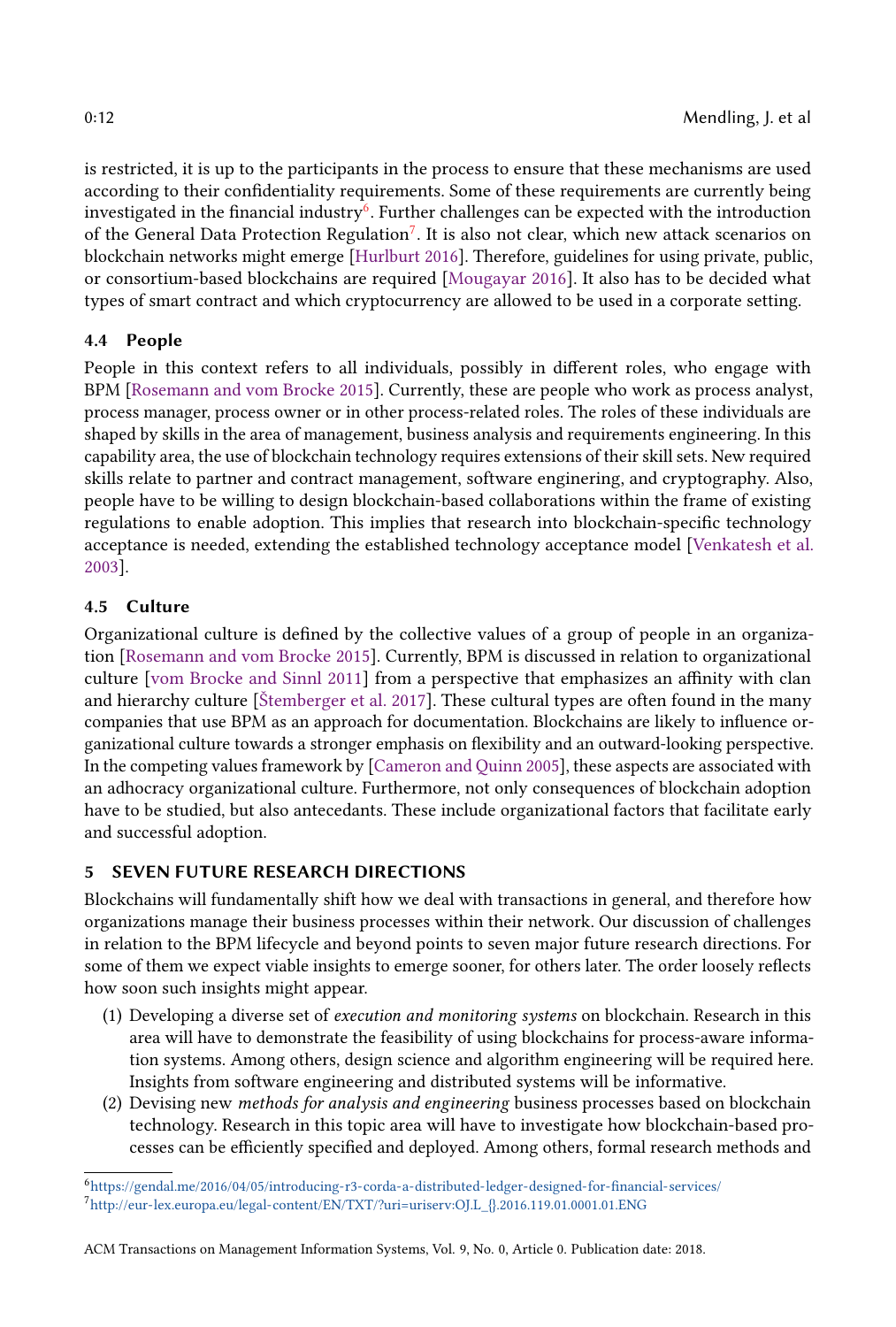is restricted, it is up to the participants in the process to ensure that these mechanisms are used according to their confidentiality requirements. Some of these requirements are currently being investigated in the financial industry $^6$  $^6$ . Further challenges can be expected with the introduction of the General Data Protection Regulation<sup>[7](#page-11-2)</sup>. It is also not clear, which new attack scenarios on blockchain networks might emerge [\[Hurlburt](#page-13-22) [2016\]](#page-13-22). Therefore, guidelines for using private, public, or consortium-based blockchains are required [\[Mougayar](#page-13-2) [2016\]](#page-13-2). It also has to be decided what types of smart contract and which cryptocurrency are allowed to be used in a corporate setting.

## 4.4 People

People in this context refers to all individuals, possibly in different roles, who engage with BPM [\[Rosemann and vom Brocke](#page-14-0) [2015\]](#page-14-0). Currently, these are people who work as process analyst, process manager, process owner or in other process-related roles. The roles of these individuals are shaped by skills in the area of management, business analysis and requirements engineering. In this capability area, the use of blockchain technology requires extensions of their skill sets. New required skills relate to partner and contract management, software enginering, and cryptography. Also, people have to be willing to design blockchain-based collaborations within the frame of existing regulations to enable adoption. This implies that research into blockchain-specific technology acceptance is needed, extending the established technology acceptance model [\[Venkatesh et al.](#page-14-25) [2003\]](#page-14-25).

## 4.5 Culture

Organizational culture is defined by the collective values of a group of people in an organization [\[Rosemann and vom Brocke](#page-14-0) [2015\]](#page-14-0). Currently, BPM is discussed in relation to organizational culture [\[vom Brocke and Sinnl](#page-14-26) [2011\]](#page-14-26) from a perspective that emphasizes an affinity with clan and hierarchy culture [\[Štemberger et al.](#page-14-27) [2017\]](#page-14-27). These cultural types are often found in the many companies that use BPM as an approach for documentation. Blockchains are likely to influence organizational culture towards a stronger emphasis on flexibility and an outward-looking perspective. In the competing values framework by [\[Cameron and Quinn](#page-13-23) [2005\]](#page-13-23), these aspects are associated with an adhocracy organizational culture. Furthermore, not only consequences of blockchain adoption have to be studied, but also antecedants. These include organizational factors that facilitate early and successful adoption.

# <span id="page-11-0"></span>5 SEVEN FUTURE RESEARCH DIRECTIONS

Blockchains will fundamentally shift how we deal with transactions in general, and therefore how organizations manage their business processes within their network. Our discussion of challenges in relation to the BPM lifecycle and beyond points to seven major future research directions. For some of them we expect viable insights to emerge sooner, for others later. The order loosely reflects how soon such insights might appear.

- (1) Developing a diverse set of execution and monitoring systems on blockchain. Research in this area will have to demonstrate the feasibility of using blockchains for process-aware information systems. Among others, design science and algorithm engineering will be required here. Insights from software engineering and distributed systems will be informative.
- (2) Devising new methods for analysis and engineering business processes based on blockchain technology. Research in this topic area will have to investigate how blockchain-based processes can be efficiently specified and deployed. Among others, formal research methods and

<span id="page-11-1"></span><sup>6</sup><https://gendal.me/2016/04/05/introducing-r3-corda-a-distributed-ledger-designed-for-financial-services/>

<span id="page-11-2"></span><sup>7</sup>[http://eur-lex.europa.eu/legal-content/EN/TXT/?uri=uriserv:OJ.L\\_{}.2016.119.01.0001.01.ENG](http://eur-lex.europa.eu/legal-content/EN/TXT/?uri=uriserv:OJ.L_{}.2016.119.01.0001.01.ENG)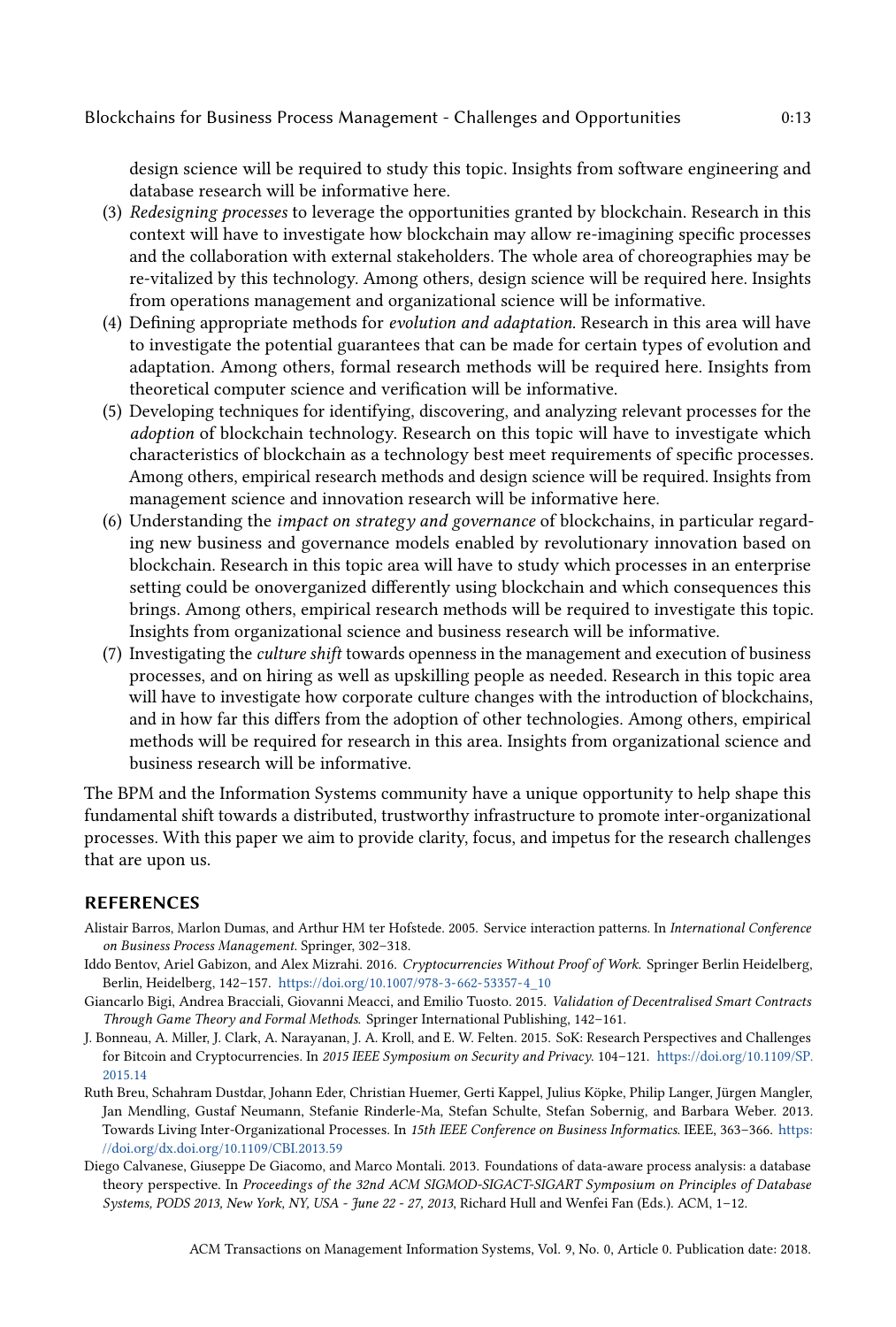design science will be required to study this topic. Insights from software engineering and database research will be informative here.

- (3) Redesigning processes to leverage the opportunities granted by blockchain. Research in this context will have to investigate how blockchain may allow re-imagining specific processes and the collaboration with external stakeholders. The whole area of choreographies may be re-vitalized by this technology. Among others, design science will be required here. Insights from operations management and organizational science will be informative.
- (4) Defining appropriate methods for evolution and adaptation. Research in this area will have to investigate the potential guarantees that can be made for certain types of evolution and adaptation. Among others, formal research methods will be required here. Insights from theoretical computer science and verification will be informative.
- (5) Developing techniques for identifying, discovering, and analyzing relevant processes for the adoption of blockchain technology. Research on this topic will have to investigate which characteristics of blockchain as a technology best meet requirements of specific processes. Among others, empirical research methods and design science will be required. Insights from management science and innovation research will be informative here.
- (6) Understanding the impact on strategy and governance of blockchains, in particular regarding new business and governance models enabled by revolutionary innovation based on blockchain. Research in this topic area will have to study which processes in an enterprise setting could be onoverganized differently using blockchain and which consequences this brings. Among others, empirical research methods will be required to investigate this topic. Insights from organizational science and business research will be informative.
- (7) Investigating the culture shift towards openness in the management and execution of business processes, and on hiring as well as upskilling people as needed. Research in this topic area will have to investigate how corporate culture changes with the introduction of blockchains, and in how far this differs from the adoption of other technologies. Among others, empirical methods will be required for research in this area. Insights from organizational science and business research will be informative.

The BPM and the Information Systems community have a unique opportunity to help shape this fundamental shift towards a distributed, trustworthy infrastructure to promote inter-organizational processes. With this paper we aim to provide clarity, focus, and impetus for the research challenges that are upon us.

#### REFERENCES

- <span id="page-12-3"></span>Alistair Barros, Marlon Dumas, and Arthur HM ter Hofstede. 2005. Service interaction patterns. In International Conference on Business Process Management. Springer, 302–318.
- <span id="page-12-0"></span>Iddo Bentov, Ariel Gabizon, and Alex Mizrahi. 2016. Cryptocurrencies Without Proof of Work. Springer Berlin Heidelberg, Berlin, Heidelberg, 142–157. [https://doi.org/10.1007/978-3-662-53357-4\\_10](https://doi.org/10.1007/978-3-662-53357-4_10)
- <span id="page-12-2"></span>Giancarlo Bigi, Andrea Bracciali, Giovanni Meacci, and Emilio Tuosto. 2015. Validation of Decentralised Smart Contracts Through Game Theory and Formal Methods. Springer International Publishing, 142–161.
- <span id="page-12-1"></span>J. Bonneau, A. Miller, J. Clark, A. Narayanan, J. A. Kroll, and E. W. Felten. 2015. SoK: Research Perspectives and Challenges for Bitcoin and Cryptocurrencies. In 2015 IEEE Symposium on Security and Privacy. 104–121. [https://doi.org/10.1109/SP.](https://doi.org/10.1109/SP.2015.14) [2015.14](https://doi.org/10.1109/SP.2015.14)
- <span id="page-12-4"></span>Ruth Breu, Schahram Dustdar, Johann Eder, Christian Huemer, Gerti Kappel, Julius Köpke, Philip Langer, Jürgen Mangler, Jan Mendling, Gustaf Neumann, Stefanie Rinderle-Ma, Stefan Schulte, Stefan Sobernig, and Barbara Weber. 2013. Towards Living Inter-Organizational Processes. In 15th IEEE Conference on Business Informatics. IEEE, 363–366. [https:](https://doi.org/dx.doi.org/10.1109/CBI.2013.59) [//doi.org/dx.doi.org/10.1109/CBI.2013.59](https://doi.org/dx.doi.org/10.1109/CBI.2013.59)
- <span id="page-12-5"></span>Diego Calvanese, Giuseppe De Giacomo, and Marco Montali. 2013. Foundations of data-aware process analysis: a database theory perspective. In Proceedings of the 32nd ACM SIGMOD-SIGACT-SIGART Symposium on Principles of Database Systems, PODS 2013, New York, NY, USA - June 22 - 27, 2013, Richard Hull and Wenfei Fan (Eds.). ACM, 1–12.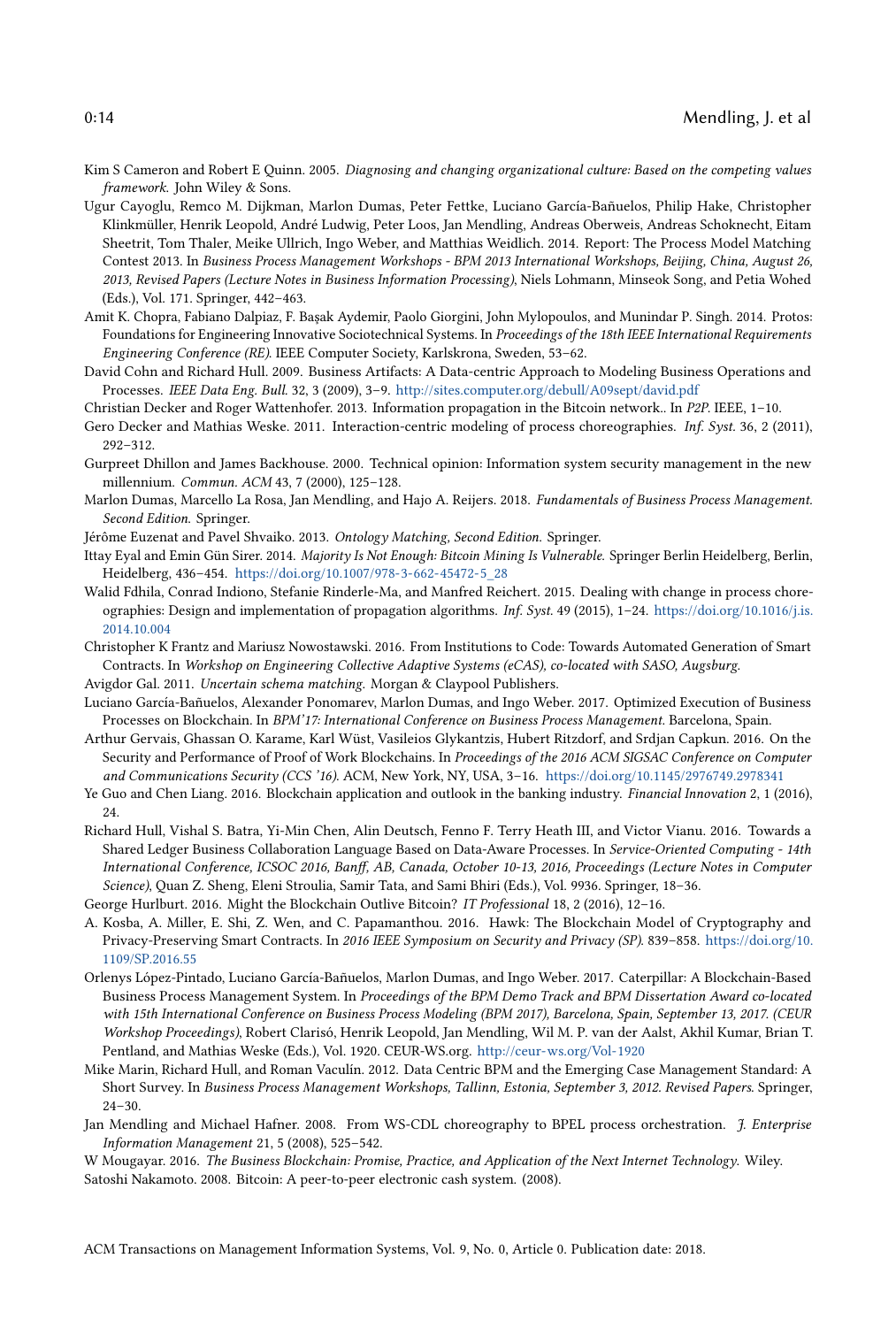- <span id="page-13-23"></span>Kim S Cameron and Robert E Quinn. 2005. Diagnosing and changing organizational culture: Based on the competing values framework. John Wiley & Sons.
- <span id="page-13-13"></span>Ugur Cayoglu, Remco M. Dijkman, Marlon Dumas, Peter Fettke, Luciano García-Bañuelos, Philip Hake, Christopher Klinkmüller, Henrik Leopold, André Ludwig, Peter Loos, Jan Mendling, Andreas Oberweis, Andreas Schoknecht, Eitam Sheetrit, Tom Thaler, Meike Ullrich, Ingo Weber, and Matthias Weidlich. 2014. Report: The Process Model Matching Contest 2013. In Business Process Management Workshops - BPM 2013 International Workshops, Beijing, China, August 26, 2013, Revised Papers (Lecture Notes in Business Information Processing), Niels Lohmann, Minseok Song, and Petia Wohed (Eds.), Vol. 171. Springer, 442–463.
- <span id="page-13-17"></span>Amit K. Chopra, Fabiano Dalpiaz, F. Başak Aydemir, Paolo Giorgini, John Mylopoulos, and Munindar P. Singh. 2014. Protos: Foundations for Engineering Innovative Sociotechnical Systems. In Proceedings of the 18th IEEE International Requirements Engineering Conference (RE). IEEE Computer Society, Karlskrona, Sweden, 53–62.
- <span id="page-13-11"></span>David Cohn and Richard Hull. 2009. Business Artifacts: A Data-centric Approach to Modeling Business Operations and Processes. IEEE Data Eng. Bull. 32, 3 (2009), 3–9. <http://sites.computer.org/debull/A09sept/david.pdf>

<span id="page-13-8"></span>Christian Decker and Roger Wattenhofer. 2013. Information propagation in the Bitcoin network.. In P2P. IEEE, 1–10.

- <span id="page-13-16"></span>Gero Decker and Mathias Weske. 2011. Interaction-centric modeling of process choreographies. Inf. Syst. 36, 2 (2011), 292–312.
- <span id="page-13-4"></span>Gurpreet Dhillon and James Backhouse. 2000. Technical opinion: Information system security management in the new millennium. Commun. ACM 43, 7 (2000), 125–128.
- <span id="page-13-0"></span>Marlon Dumas, Marcello La Rosa, Jan Mendling, and Hajo A. Reijers. 2018. Fundamentals of Business Process Management. Second Edition. Springer.
- <span id="page-13-14"></span>Jérôme Euzenat and Pavel Shvaiko. 2013. Ontology Matching, Second Edition. Springer.
- <span id="page-13-6"></span>Ittay Eyal and Emin Gün Sirer. 2014. Majority Is Not Enough: Bitcoin Mining Is Vulnerable. Springer Berlin Heidelberg, Berlin, Heidelberg, 436–454. [https://doi.org/10.1007/978-3-662-45472-5\\_28](https://doi.org/10.1007/978-3-662-45472-5_28)
- <span id="page-13-20"></span>Walid Fdhila, Conrad Indiono, Stefanie Rinderle-Ma, and Manfred Reichert. 2015. Dealing with change in process choreographies: Design and implementation of propagation algorithms. Inf. Syst. 49 (2015), 1–24. [https://doi.org/10.1016/j.is.](https://doi.org/10.1016/j.is.2014.10.004) [2014.10.004](https://doi.org/10.1016/j.is.2014.10.004)
- <span id="page-13-9"></span>Christopher K Frantz and Mariusz Nowostawski. 2016. From Institutions to Code: Towards Automated Generation of Smart Contracts. In Workshop on Engineering Collective Adaptive Systems (eCAS), co-located with SASO, Augsburg.
- <span id="page-13-15"></span>Avigdor Gal. 2011. Uncertain schema matching. Morgan & Claypool Publishers.
- <span id="page-13-3"></span>Luciano García-Bañuelos, Alexander Ponomarev, Marlon Dumas, and Ingo Weber. 2017. Optimized Execution of Business Processes on Blockchain. In BPM'17: International Conference on Business Process Management. Barcelona, Spain.
- <span id="page-13-7"></span>Arthur Gervais, Ghassan O. Karame, Karl Wüst, Vasileios Glykantzis, Hubert Ritzdorf, and Srdjan Capkun. 2016. On the Security and Performance of Proof of Work Blockchains. In Proceedings of the 2016 ACM SIGSAC Conference on Computer and Communications Security (CCS '16). ACM, New York, NY, USA, 3–16. <https://doi.org/10.1145/2976749.2978341>
- <span id="page-13-21"></span>Ye Guo and Chen Liang. 2016. Blockchain application and outlook in the banking industry. Financial Innovation 2, 1 (2016),  $24.$
- <span id="page-13-10"></span>Richard Hull, Vishal S. Batra, Yi-Min Chen, Alin Deutsch, Fenno F. Terry Heath III, and Victor Vianu. 2016. Towards a Shared Ledger Business Collaboration Language Based on Data-Aware Processes. In Service-Oriented Computing - 14th International Conference, ICSOC 2016, Banff, AB, Canada, October 10-13, 2016, Proceedings (Lecture Notes in Computer Science), Quan Z. Sheng, Eleni Stroulia, Samir Tata, and Sami Bhiri (Eds.), Vol. 9936. Springer, 18–36.
- <span id="page-13-22"></span><span id="page-13-5"></span>George Hurlburt. 2016. Might the Blockchain Outlive Bitcoin? IT Professional 18, 2 (2016), 12–16.
- A. Kosba, A. Miller, E. Shi, Z. Wen, and C. Papamanthou. 2016. Hawk: The Blockchain Model of Cryptography and Privacy-Preserving Smart Contracts. In 2016 IEEE Symposium on Security and Privacy (SP). 839–858. [https://doi.org/10.](https://doi.org/10.1109/SP.2016.55) [1109/SP.2016.55](https://doi.org/10.1109/SP.2016.55)
- <span id="page-13-19"></span>Orlenys López-Pintado, Luciano García-Bañuelos, Marlon Dumas, and Ingo Weber. 2017. Caterpillar: A Blockchain-Based Business Process Management System. In Proceedings of the BPM Demo Track and BPM Dissertation Award co-located with 15th International Conference on Business Process Modeling (BPM 2017), Barcelona, Spain, September 13, 2017. (CEUR Workshop Proceedings), Robert Clarisó, Henrik Leopold, Jan Mendling, Wil M. P. van der Aalst, Akhil Kumar, Brian T. Pentland, and Mathias Weske (Eds.), Vol. 1920. CEUR-WS.org. <http://ceur-ws.org/Vol-1920>
- <span id="page-13-12"></span>Mike Marin, Richard Hull, and Roman Vaculín. 2012. Data Centric BPM and the Emerging Case Management Standard: A Short Survey. In Business Process Management Workshops, Tallinn, Estonia, September 3, 2012. Revised Papers. Springer, 24–30.
- <span id="page-13-18"></span>Jan Mendling and Michael Hafner. 2008. From WS-CDL choreography to BPEL process orchestration. J. Enterprise Information Management 21, 5 (2008), 525–542.
- <span id="page-13-2"></span><span id="page-13-1"></span>W Mougayar. 2016. The Business Blockchain: Promise, Practice, and Application of the Next Internet Technology. Wiley. Satoshi Nakamoto. 2008. Bitcoin: A peer-to-peer electronic cash system. (2008).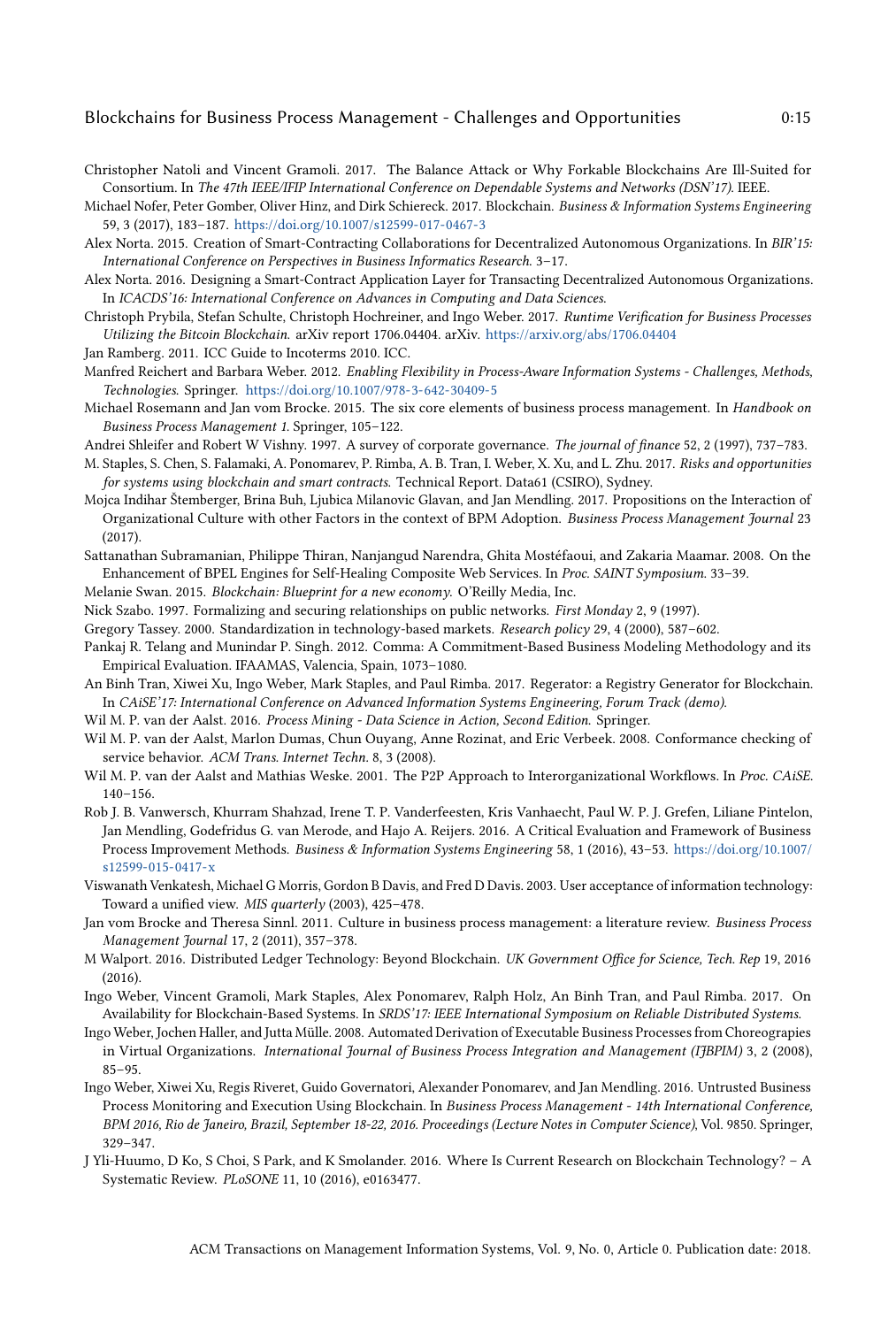#### Blockchains for Business Process Management - Challenges and Opportunities 0:15

<span id="page-14-8"></span>Christopher Natoli and Vincent Gramoli. 2017. The Balance Attack or Why Forkable Blockchains Are Ill-Suited for Consortium. In The 47th IEEE/IFIP International Conference on Dependable Systems and Networks (DSN'17). IEEE.

- <span id="page-14-11"></span>Alex Norta. 2015. Creation of Smart-Contracting Collaborations for Decentralized Autonomous Organizations. In BIR'15: International Conference on Perspectives in Business Informatics Research. 3–17.
- <span id="page-14-12"></span>Alex Norta. 2016. Designing a Smart-Contract Application Layer for Transacting Decentralized Autonomous Organizations. In ICACDS'16: International Conference on Advances in Computing and Data Sciences.
- <span id="page-14-21"></span>Christoph Prybila, Stefan Schulte, Christoph Hochreiner, and Ingo Weber. 2017. Runtime Verification for Business Processes Utilizing the Bitcoin Blockchain. arXiv report 1706.04404. arXiv. <https://arxiv.org/abs/1706.04404>

<span id="page-14-15"></span>Jan Ramberg. 2011. ICC Guide to Incoterms 2010. ICC.

- <span id="page-14-22"></span>Manfred Reichert and Barbara Weber. 2012. Enabling Flexibility in Process-Aware Information Systems - Challenges, Methods, Technologies. Springer. <https://doi.org/10.1007/978-3-642-30409-5>
- <span id="page-14-0"></span>Michael Rosemann and Jan vom Brocke. 2015. The six core elements of business process management. In Handbook on Business Process Management 1. Springer, 105–122.
- <span id="page-14-24"></span>Andrei Shleifer and Robert W Vishny. 1997. A survey of corporate governance. The journal of finance 52, 2 (1997), 737–783.
- <span id="page-14-10"></span>M. Staples, S. Chen, S. Falamaki, A. Ponomarev, P. Rimba, A. B. Tran, I. Weber, X. Xu, and L. Zhu. 2017. Risks and opportunities for systems using blockchain and smart contracts. Technical Report. Data61 (CSIRO), Sydney.
- <span id="page-14-27"></span>Mojca Indihar Štemberger, Brina Buh, Ljubica Milanovic Glavan, and Jan Mendling. 2017. Propositions on the Interaction of Organizational Culture with other Factors in the context of BPM Adoption. Business Process Management Journal 23 (2017).
- <span id="page-14-20"></span>Sattanathan Subramanian, Philippe Thiran, Nanjangud Narendra, Ghita Mostéfaoui, and Zakaria Maamar. 2008. On the Enhancement of BPEL Engines for Self-Healing Composite Web Services. In Proc. SAINT Symposium. 33–39.
- <span id="page-14-4"></span>Melanie Swan. 2015. Blockchain: Blueprint for a new economy. O'Reilly Media, Inc.
- <span id="page-14-1"></span>Nick Szabo. 1997. Formalizing and securing relationships on public networks. First Monday 2, 9 (1997).
- <span id="page-14-23"></span>Gregory Tassey. 2000. Standardization in technology-based markets. Research policy 29, 4 (2000), 587–602.
- <span id="page-14-16"></span>Pankaj R. Telang and Munindar P. Singh. 2012. Comma: A Commitment-Based Business Modeling Methodology and its Empirical Evaluation. IFAAMAS, Valencia, Spain, 1073–1080.
- <span id="page-14-5"></span>An Binh Tran, Xiwei Xu, Ingo Weber, Mark Staples, and Paul Rimba. 2017. Regerator: a Registry Generator for Blockchain. In CAiSE'17: International Conference on Advanced Information Systems Engineering, Forum Track (demo).
- <span id="page-14-13"></span>Wil M. P. van der Aalst. 2016. Process Mining - Data Science in Action, Second Edition. Springer.
- <span id="page-14-19"></span>Wil M. P. van der Aalst, Marlon Dumas, Chun Ouyang, Anne Rozinat, and Eric Verbeek. 2008. Conformance checking of service behavior. ACM Trans. Internet Techn. 8, 3 (2008).
- <span id="page-14-17"></span>Wil M. P. van der Aalst and Mathias Weske. 2001. The P2P Approach to Interorganizational Workflows. In Proc. CAiSE. 140–156.
- <span id="page-14-14"></span>Rob J. B. Vanwersch, Khurram Shahzad, Irene T. P. Vanderfeesten, Kris Vanhaecht, Paul W. P. J. Grefen, Liliane Pintelon, Jan Mendling, Godefridus G. van Merode, and Hajo A. Reijers. 2016. A Critical Evaluation and Framework of Business Process Improvement Methods. Business & Information Systems Engineering 58, 1 (2016), 43–53. [https://doi.org/10.1007/](https://doi.org/10.1007/s12599-015-0417-x) [s12599-015-0417-x](https://doi.org/10.1007/s12599-015-0417-x)
- <span id="page-14-25"></span>Viswanath Venkatesh, Michael G Morris, Gordon B Davis, and Fred D Davis. 2003. User acceptance of information technology: Toward a unified view. MIS quarterly (2003), 425–478.
- <span id="page-14-26"></span>Jan vom Brocke and Theresa Sinnl. 2011. Culture in business process management: a literature review. Business Process Management Journal 17, 2 (2011), 357–378.
- <span id="page-14-2"></span>M Walport. 2016. Distributed Ledger Technology: Beyond Blockchain. UK Government Office for Science, Tech. Rep 19, 2016 (2016).
- <span id="page-14-7"></span>Ingo Weber, Vincent Gramoli, Mark Staples, Alex Ponomarev, Ralph Holz, An Binh Tran, and Paul Rimba. 2017. On Availability for Blockchain-Based Systems. In SRDS'17: IEEE International Symposium on Reliable Distributed Systems.
- <span id="page-14-18"></span>Ingo Weber, Jochen Haller, and Jutta Mülle. 2008. Automated Derivation of Executable Business Processes from Choreograpies in Virtual Organizations. International Journal of Business Process Integration and Management (IJBPIM) 3, 2 (2008), 85–95.
- <span id="page-14-6"></span>Ingo Weber, Xiwei Xu, Regis Riveret, Guido Governatori, Alexander Ponomarev, and Jan Mendling. 2016. Untrusted Business Process Monitoring and Execution Using Blockchain. In Business Process Management - 14th International Conference, BPM 2016, Rio de Janeiro, Brazil, September 18-22, 2016. Proceedings (Lecture Notes in Computer Science), Vol. 9850. Springer, 329–347.
- <span id="page-14-3"></span>J Yli-Huumo, D Ko, S Choi, S Park, and K Smolander. 2016. Where Is Current Research on Blockchain Technology? – A Systematic Review. PLoSONE 11, 10 (2016), e0163477.

<span id="page-14-9"></span>Michael Nofer, Peter Gomber, Oliver Hinz, and Dirk Schiereck. 2017. Blockchain. Business & Information Systems Engineering 59, 3 (2017), 183–187. <https://doi.org/10.1007/s12599-017-0467-3>